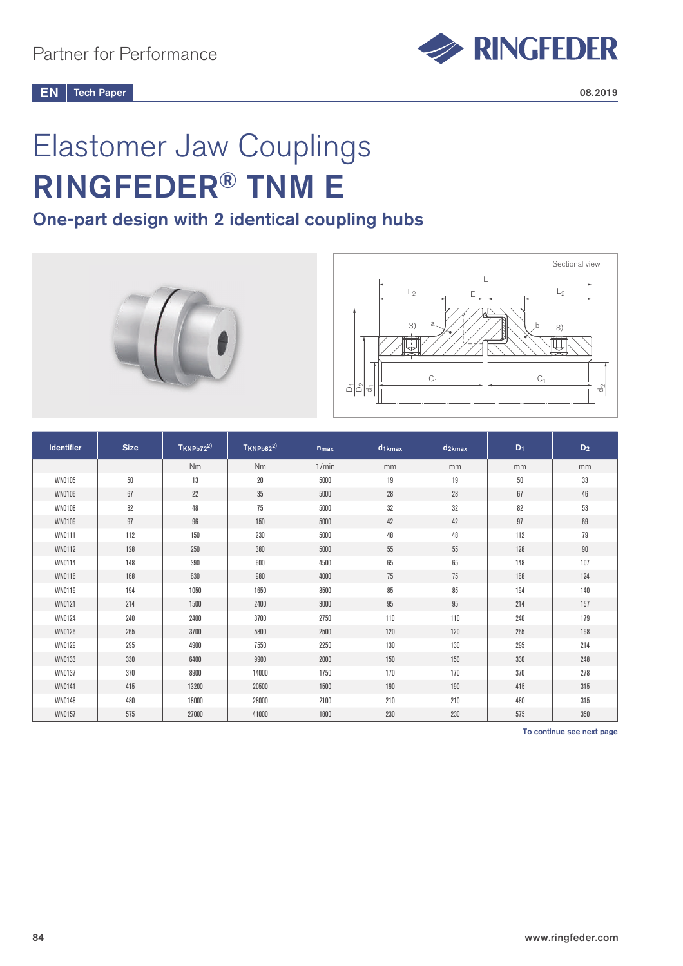

# Elastomer Jaw Couplings RINGFEDER® TNM E

# One-part design with 2 identical coupling hubs





| <b>Identifier</b> | <b>Size</b> | $T_{KNPb72}^{2)}$ | $T_{KNPb82}^{2)}$ | $n_{max}$ | $d_{1kmax}$ | $d_{2kmax}$ | $D_1$  | $D_2$  |
|-------------------|-------------|-------------------|-------------------|-----------|-------------|-------------|--------|--------|
|                   |             | Nm                | <b>Nm</b>         | 1/min     | mm          | mm          | mm     | mm     |
| WN0105            | $50\,$      | 13                | $20\,$            | 5000      | 19          | 19          | $50\,$ | 33     |
| WN0106            | 67          | 22                | $35\,$            | 5000      | 28          | 28          | 67     | $46\,$ |
| WN0108            | 82          | 48                | 75                | 5000      | 32          | 32          | 82     | 53     |
| WN0109            | 97          | 96                | 150               | 5000      | 42          | 42          | 97     | 69     |
| WN0111            | 112         | 150               | 230               | 5000      | 48          | 48          | 112    | 79     |
| WN0112            | 128         | 250               | 380               | 5000      | $55\,$      | 55          | 128    | $90\,$ |
| WN0114            | 148         | 390               | 600               | 4500      | 65          | 65          | 148    | 107    |
| WN0116            | 168         | 630               | 980               | 4000      | 75          | 75          | 168    | 124    |
| WN0119            | 194         | 1050              | 1650              | 3500      | 85          | 85          | 194    | 140    |
| WN0121            | 214         | 1500              | 2400              | 3000      | $95\,$      | 95          | 214    | 157    |
| WN0124            | 240         | 2400              | 3700              | 2750      | 110         | 110         | 240    | 179    |
| <b>WN0126</b>     | 265         | 3700              | 5800              | 2500      | 120         | 120         | 265    | 198    |
| WN0129            | 295         | 4900              | 7550              | 2250      | 130         | 130         | 295    | 214    |
| WN0133            | 330         | 6400              | 9900              | 2000      | 150         | 150         | 330    | 248    |
| WN0137            | 370         | 8900              | 14000             | 1750      | 170         | 170         | 370    | 278    |
| WN0141            | 415         | 13200             | 20500             | 1500      | 190         | 190         | 415    | 315    |
| WN0148            | 480         | 18000             | 28000             | 2100      | 210         | 210         | 480    | 315    |
| WN0157            | 575         | 27000             | 41000             | 1800      | 230         | 230         | 575    | 350    |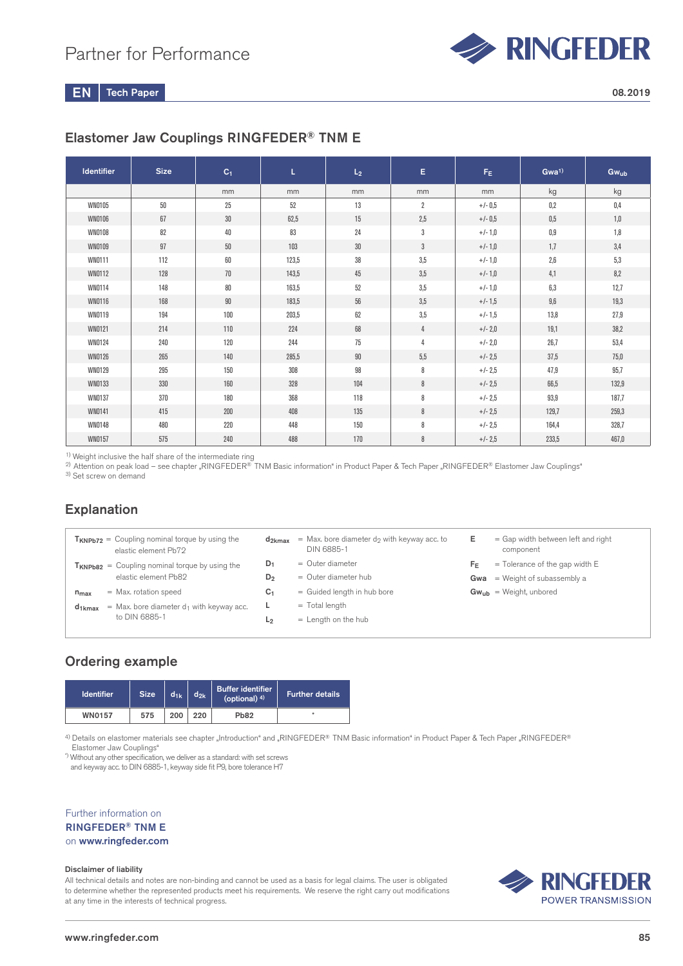

# Elastomer Jaw Couplings RINGFEDER® TNM E

| <b>Identifier</b> | <b>Size</b> | C <sub>1</sub> | L.    | L <sub>2</sub> | E              | F <sub>E</sub> | Gwa <sup>1</sup> | Gwub  |
|-------------------|-------------|----------------|-------|----------------|----------------|----------------|------------------|-------|
|                   |             | mm             | mm    | mm             | mm             | mm             | kg               | kg    |
| WN0105            | 50          | 25             | 52    | 13             | $\overline{2}$ | $+/- 0.5$      | 0,2              | 0,4   |
| WN0106            | 67          | $30\,$         | 62,5  | 15             | 2,5            | $+/- 0.5$      | 0,5              | 1,0   |
| <b>WN0108</b>     | 82          | $40\,$         | 83    | 24             | 3              | $+/-1,0$       | 0,9              | 1,8   |
| <b>WN0109</b>     | 97          | 50             | 103   | 30             | 3              | $+/-1,0$       | 1,7              | 3,4   |
| WN0111            | 112         | 60             | 123,5 | 38             | 3,5            | $+/-1,0$       | 2,6              | 5,3   |
| WN0112            | 128         | $70\,$         | 143,5 | 45             | 3,5            | $+/-1,0$       | 4,1              | 8,2   |
| WN0114            | 148         | 80             | 163,5 | 52             | 3,5            | $+/-1,0$       | 6,3              | 12,7  |
| <b>WN0116</b>     | 168         | $90\,$         | 183,5 | 56             | 3,5            | $+/- 1,5$      | 9,6              | 19,3  |
| WN0119            | 194         | 100            | 203,5 | 62             | 3,5            | $+/- 1,5$      | 13,8             | 27,9  |
| WN0121            | 214         | 110            | 224   | 68             | 4              | $+/- 2,0$      | 19,1             | 38,2  |
| WN0124            | 240         | 120            | 244   | 75             | $\overline{4}$ | $+/- 2,0$      | 26,7             | 53,4  |
| WN0126            | 265         | 140            | 285,5 | 90             | 5,5            | $+/- 2.5$      | 37,5             | 75,0  |
| WN0129            | 295         | 150            | 308   | 98             | 8              | $+/- 2.5$      | 47,9             | 95,7  |
| WN0133            | 330         | 160            | 328   | 104            | 8              | $+/- 2.5$      | 66,5             | 132,9 |
| WN0137            | 370         | 180            | 368   | 118            | 8              | $+/- 2.5$      | 93,9             | 187,7 |
| WN0141            | 415         | 200            | 408   | 135            | 8              | $+/- 2.5$      | 129,7            | 259,3 |
| WN0148            | 480         | 220            | 448   | 150            | 8              | $+/- 2.5$      | 164,4            | 328,7 |
| <b>WN0157</b>     | 575         | 240            | 488   | 170            | 8              | $+/- 2,5$      | 233,5            | 467,0 |

<sup>1)</sup> Weight inclusive the half share of the intermediate ring

2) Attention on peak load – see chapter "RINGFEDER® TNM Basic information" in Product Paper & Tech Paper "RINGFEDER® Elastomer Jaw Couplings"

3) Set screw on demand

## Explanation

| $T_{KNPb72}$ = Coupling nominal torque by using the<br>elastic element Pb72     | $d_{2kmax}$    | $=$ Max, bore diameter d <sub>2</sub> with keyway acc. to<br>DIN 6885-1 | Е  | $=$ Gap width between left and right<br>component |
|---------------------------------------------------------------------------------|----------------|-------------------------------------------------------------------------|----|---------------------------------------------------|
| $T_{KNPb82}$ = Coupling nominal torque by using the                             | $D_1$          | $=$ Outer diameter                                                      | FF | $=$ Tolerance of the gap width E                  |
| elastic element Pb82                                                            | $D_2$          | $=$ Outer diameter hub                                                  |    | <b>Gwa</b> = Weight of subassembly a              |
| $=$ Max. rotation speed<br>$n_{max}$                                            | C <sub>1</sub> | = Guided length in hub bore                                             |    | $Gw_{ub}$ = Weight, unbored                       |
| $=$ Max, bore diameter d <sub>1</sub> with keyway acc.<br>$d_1$ <sub>kmax</sub> | ч.             | $=$ Total length                                                        |    |                                                   |
| to DIN 6885-1                                                                   | L <sub>2</sub> | $=$ Length on the hub                                                   |    |                                                   |
|                                                                                 |                |                                                                         |    |                                                   |

## Ordering example

| <b>Identifier</b> | $d_{2k}$<br>$d_{1k}$<br><b>Size</b> |  | <b>Buffer identifier</b><br>(optional) $4$ ) | <b>Further details</b> |
|-------------------|-------------------------------------|--|----------------------------------------------|------------------------|
| <b>WN0157</b>     | 200<br>220<br>Pb82<br>575           |  |                                              |                        |

4) Details on elastomer materials see chapter "Introduction" and "RINGFEDER® TNM Basic information" in Product Paper & Tech Paper "RINGFEDER® Elastomer Jaw Couplings"

\*) Without any other specification, we deliver as a standard: with set screws

and keyway acc. to DIN 6885-1, keyway side fit P9, bore tolerance H7

Further information on RINGFEDER® TNM E on www.ringfeder.com

#### Disclaimer of liability

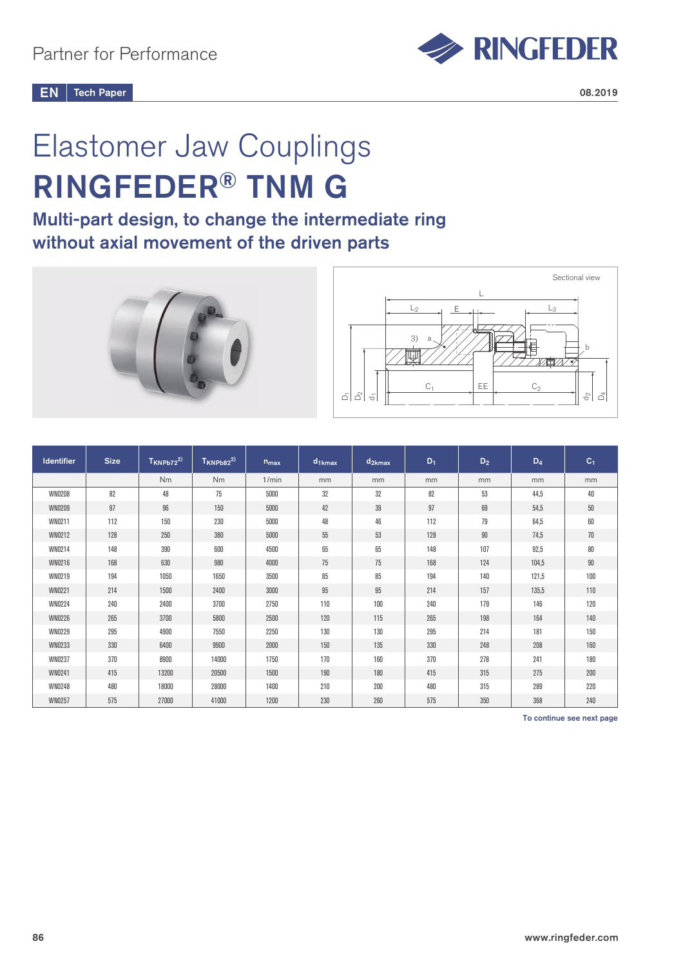

# Elastomer Jaw Couplings RINGFEDER® TNM G

# Multi-part design, to change the intermediate ring without axial movement of the driven parts





| <b>Identifier</b> | <b>Size</b> | $T_{KNPb72}^{2)}$ | $T_{KNPb82}^{2)}$ | $n_{max}$ | $d_{1kmax}$ | $d_{2kmax}$ | $D_1$ | $D_2$ | $D_4$ | $C_1$  |
|-------------------|-------------|-------------------|-------------------|-----------|-------------|-------------|-------|-------|-------|--------|
|                   |             | Nm                | <b>Nm</b>         | 1/min     | mm          | mm          | mm    | mm    | mm    | mm     |
| <b>WN0208</b>     | 82          | 48                | 75                | 5000      | 32          | 32          | 82    | 53    | 44,5  | 40     |
| <b>WN0209</b>     | 97          | 96                | 150               | 5000      | 42          | 39          | 97    | 69    | 54,5  | $50\,$ |
| WN0211            | 112         | 150               | 230               | 5000      | 48          | 46          | 112   | 79    | 64,5  | 60     |
| WN0212            | 128         | 250               | 380               | 5000      | 55          | 53          | 128   | 90    | 74,5  | 70     |
| WN0214            | 148         | 390               | 600               | 4500      | 65          | 65          | 148   | 107   | 92,5  | 80     |
| WN0216            | 168         | 630               | 980               | 4000      | 75          | 75          | 168   | 124   | 104,5 | 90     |
| WN0219            | 194         | 1050              | 1650              | 3500      | 85          | 85          | 194   | 140   | 121,5 | 100    |
| <b>WN0221</b>     | 214         | 1500              | 2400              | 3000      | 95          | 95          | 214   | 157   | 135,5 | 110    |
| <b>WN0224</b>     | 240         | 2400              | 3700              | 2750      | 110         | 100         | 240   | 179   | 146   | 120    |
| <b>WN0226</b>     | 265         | 3700              | 5800              | 2500      | 120         | 115         | 265   | 198   | 164   | 140    |
| <b>WN0229</b>     | 295         | 4900              | 7550              | 2250      | 130         | 130         | 295   | 214   | 181   | 150    |
| WN0233            | 330         | 6400              | 9900              | 2000      | 150         | 135         | 330   | 248   | 208   | 160    |
| <b>WN0237</b>     | 370         | 8900              | 14000             | 1750      | 170         | 160         | 370   | 278   | 241   | 180    |
| WN0241            | 415         | 13200             | 20500             | 1500      | 190         | 180         | 415   | 315   | 275   | 200    |
| WN0248            | 480         | 18000             | 28000             | 1400      | 210         | 200         | 480   | 315   | 289   | 220    |
| <b>WN0257</b>     | 575         | 27000             | 41000             | 1200      | 230         | 260         | 575   | 350   | 368   | 240    |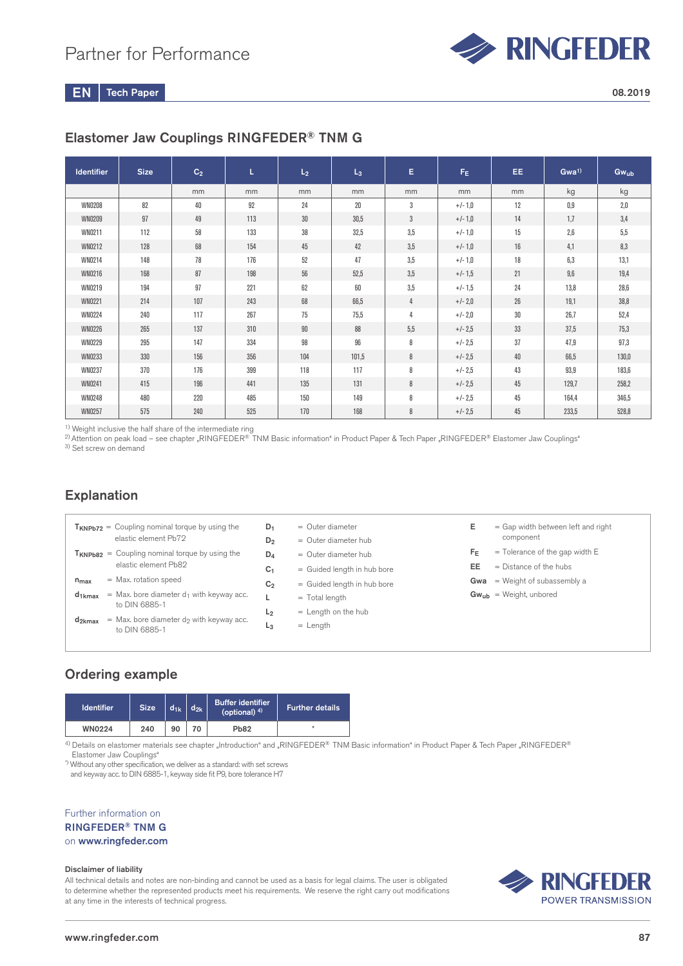

# Elastomer Jaw Couplings RINGFEDER® TNM G

| <b>Identifier</b> | <b>Size</b> | C <sub>2</sub> | L   | L <sub>2</sub> | $L_3$ | E.             | $F_E$     | EE. | Gwa <sup>1)</sup> | <b>Gwub</b> |
|-------------------|-------------|----------------|-----|----------------|-------|----------------|-----------|-----|-------------------|-------------|
|                   |             | mm             | mm  | mm             | mm    | mm             | mm        | mm  | kg                | kg          |
| <b>WN0208</b>     | 82          | 40             | 92  | 24             | 20    | 3              | $+/-1,0$  | 12  | 0,9               | 2.0         |
| <b>WN0209</b>     | 97          | 49             | 113 | 30             | 30.5  | $3\phantom{a}$ | $+/-1,0$  | 14  | 1,7               | 3,4         |
| WN0211            | 112         | 58             | 133 | 38             | 32,5  | 3,5            | $+/-1,0$  | 15  | 2,6               | 5,5         |
| WN0212            | 128         | 68             | 154 | 45             | 42    | 3,5            | $+/-1,0$  | 16  | 4,1               | 8,3         |
| WN0214            | 148         | 78             | 176 | 52             | 47    | 3,5            | $+/-1,0$  | 18  | 6,3               | 13,1        |
| WN0216            | 168         | 87             | 198 | 56             | 52.5  | 3,5            | $+/-1,5$  | 21  | 9,6               | 19,4        |
| WN0219            | 194         | 97             | 221 | 62             | 60    | 3,5            | $+/-1,5$  | 24  | 13,8              | 28,6        |
| <b>WN0221</b>     | 214         | 107            | 243 | 68             | 66,5  | 4              | $+/- 2,0$ | 26  | 19.1              | 38,8        |
| <b>WN0224</b>     | 240         | 117            | 267 | 75             | 75,5  | 4              | $+/- 2,0$ | 30  | 26,7              | 52,4        |
| <b>WN0226</b>     | 265         | 137            | 310 | 90             | 88    | 5,5            | $+/- 2.5$ | 33  | 37,5              | 75,3        |
| <b>WN0229</b>     | 295         | 147            | 334 | 98             | 96    | 8              | $+/- 2.5$ | 37  | 47,9              | 97,3        |
| WN0233            | 330         | 156            | 356 | 104            | 101,5 | 8              | $+/- 2.5$ | 40  | 66,5              | 130,0       |
| <b>WN0237</b>     | 370         | 176            | 399 | 118            | 117   | 8              | $+/- 2.5$ | 43  | 93,9              | 183,6       |
| WN0241            | 415         | 196            | 441 | 135            | 131   | 8              | $+/- 2.5$ | 45  | 129,7             | 258,2       |
| <b>WN0248</b>     | 480         | 220            | 485 | 150            | 149   | 8              | $+/- 2.5$ | 45  | 164,4             | 346,5       |
| <b>WN0257</b>     | 575         | 240            | 525 | 170            | 168   | 8              | $+/- 2.5$ | 45  | 233,5             | 528,8       |

1) Weight inclusive the half share of the intermediate ring

 $^{2)}$ Attention on peak load – see chapter "RINGFEDER® TNM Basic information" in Product Paper & Tech Paper "RINGFEDER® Elastomer Jaw Couplings" 3) Set screw on demand

# Explanation

|                    | $T_{KNPb72}$ = Coupling nominal torque by using the<br>elastic element Pb72 | $D_1$<br>$D_2$ | $=$ Outer diameter<br>$=$ Outer diameter hub | Е       | = Gap width between left and right<br>component |
|--------------------|-----------------------------------------------------------------------------|----------------|----------------------------------------------|---------|-------------------------------------------------|
|                    | $T_{KNPb82}$ = Coupling nominal torque by using the                         | $D_4$          | $=$ Outer diameter hub                       | $F_{E}$ | $=$ Tolerance of the gap width E                |
|                    | elastic element Pb82                                                        | C <sub>1</sub> | = Guided length in hub bore                  | EE      | $=$ Distance of the hubs                        |
| $n_{max}$          | $=$ Max. rotation speed                                                     | C <sub>2</sub> | = Guided length in hub bore                  |         | <b>Gwa</b> = Weight of subassembly a            |
| $d_{1kmax}$        | = Max. bore diameter $d_1$ with keyway acc.                                 |                | $=$ Total length                             |         | $Gw_{ub}$ = Weight, unbored                     |
|                    | to DIN 6885-1                                                               | L <sub>2</sub> | $=$ Length on the hub                        |         |                                                 |
| d <sub>2kmax</sub> | $=$ Max. bore diameter d <sub>2</sub> with keyway acc.<br>to DIN 6885-1     | L <sub>3</sub> | $=$ Length                                   |         |                                                 |
|                    |                                                                             |                |                                              |         |                                                 |
|                    |                                                                             |                |                                              |         |                                                 |

# Ordering example

| <b>Identifier</b> | <b>Size</b> | $d_{1k}$ | $d_{2k}$ | <b>Buffer identifier</b><br>(optional) $4$ ) | Further details <b>b</b> |
|-------------------|-------------|----------|----------|----------------------------------------------|--------------------------|
| <b>WN0224</b>     | 240         | 90       | 70       | <b>Pb82</b>                                  | $\ast$                   |

4) Details on elastomer materials see chapter "Introduction" and "RINGFEDER® TNM Basic information" in Product Paper & Tech Paper "RINGFEDER® Elastomer Jaw Couplings"

\*) Without any other specification, we deliver as a standard: with set screws and keyway acc. to DIN 6885-1, keyway side fit P9, bore tolerance H7

Further information on RINGFEDER® TNM G on www.ringfeder.com

#### Disclaimer of liability

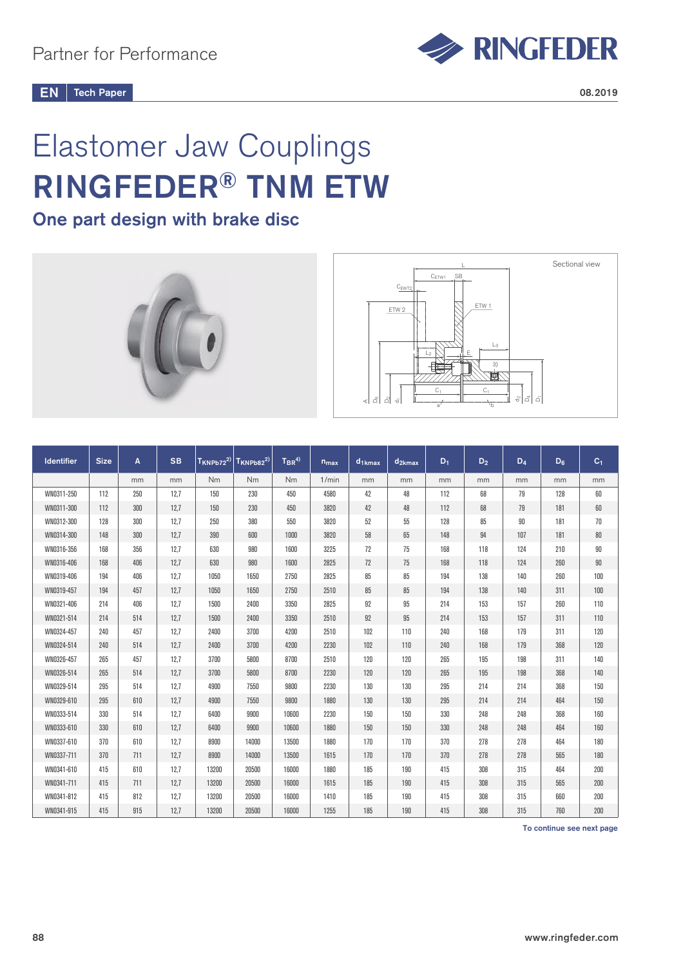

# Elastomer Jaw Couplings RINGFEDER® TNM ETW

# One part design with brake disc





| <b>Identifier</b> | <b>Size</b> | A   | <b>SB</b> | $T_{KNPb72}^{2)}$ | $T_{KNPb82}^{2)}$ | $T_{BR}^{(4)}$ | $n_{max}$ | $d_1$ <sub>kmax</sub> | $d_{2kmax}$ | $D_1$ | $D_2$ | $D_4$ | $D_6$ | C <sub>1</sub> |
|-------------------|-------------|-----|-----------|-------------------|-------------------|----------------|-----------|-----------------------|-------------|-------|-------|-------|-------|----------------|
|                   |             | mm  | mm        | Nm                | N <sub>m</sub>    | Nm             | 1/min     | mm                    | mm          | mm    | mm    | mm    | mm    | mm             |
| WN0311-250        | 112         | 250 | 12,7      | 150               | 230               | 450            | 4580      | 42                    | 48          | 112   | 68    | 79    | 128   | 60             |
| WN0311-300        | 112         | 300 | 12,7      | 150               | 230               | 450            | 3820      | 42                    | 48          | 112   | 68    | 79    | 181   | 60             |
| WN0312-300        | 128         | 300 | 12,7      | 250               | 380               | 550            | 3820      | 52                    | 55          | 128   | 85    | 90    | 181   | 70             |
| WN0314-300        | 148         | 300 | 12,7      | 390               | 600               | 1000           | 3820      | 58                    | 65          | 148   | 94    | 107   | 181   | $80\,$         |
| WN0316-356        | 168         | 356 | 12,7      | 630               | 980               | 1600           | 3225      | 72                    | 75          | 168   | 118   | 124   | 210   | 90             |
| WN0316-406        | 168         | 406 | 12,7      | 630               | 980               | 1600           | 2825      | 72                    | 75          | 168   | 118   | 124   | 260   | $90\,$         |
| WN0319-406        | 194         | 406 | 12,7      | 1050              | 1650              | 2750           | 2825      | 85                    | 85          | 194   | 138   | 140   | 260   | 100            |
| WN0319-457        | 194         | 457 | 12,7      | 1050              | 1650              | 2750           | 2510      | 85                    | 85          | 194   | 138   | 140   | 311   | 100            |
| WN0321-406        | 214         | 406 | 12,7      | 1500              | 2400              | 3350           | 2825      | 92                    | 95          | 214   | 153   | 157   | 260   | 110            |
| WN0321-514        | 214         | 514 | 12,7      | 1500              | 2400              | 3350           | 2510      | 92                    | 95          | 214   | 153   | 157   | 311   | 110            |
| WN0324-457        | 240         | 457 | 12,7      | 2400              | 3700              | 4200           | 2510      | 102                   | 110         | 240   | 168   | 179   | 311   | 120            |
| WN0324-514        | 240         | 514 | 12,7      | 2400              | 3700              | 4200           | 2230      | 102                   | 110         | 240   | 168   | 179   | 368   | 120            |
| WN0326-457        | 265         | 457 | 12,7      | 3700              | 5800              | 8700           | 2510      | 120                   | 120         | 265   | 195   | 198   | 311   | 140            |
| WN0326-514        | 265         | 514 | 12,7      | 3700              | 5800              | 8700           | 2230      | 120                   | 120         | 265   | 195   | 198   | 368   | 140            |
| WN0329-514        | 295         | 514 | 12,7      | 4900              | 7550              | 9800           | 2230      | 130                   | 130         | 295   | 214   | 214   | 368   | 150            |
| WN0329-610        | 295         | 610 | 12,7      | 4900              | 7550              | 9800           | 1880      | 130                   | 130         | 295   | 214   | 214   | 464   | 150            |
| WN0333-514        | 330         | 514 | 12,7      | 6400              | 9900              | 10600          | 2230      | 150                   | 150         | 330   | 248   | 248   | 368   | 160            |
| WN0333-610        | 330         | 610 | 12,7      | 6400              | 9900              | 10600          | 1880      | 150                   | 150         | 330   | 248   | 248   | 464   | 160            |
| WN0337-610        | 370         | 610 | 12,7      | 8900              | 14000             | 13500          | 1880      | 170                   | 170         | 370   | 278   | 278   | 464   | 180            |
| WN0337-711        | 370         | 711 | 12,7      | 8900              | 14000             | 13500          | 1615      | 170                   | 170         | 370   | 278   | 278   | 565   | 180            |
| WN0341-610        | 415         | 610 | 12,7      | 13200             | 20500             | 16000          | 1880      | 185                   | 190         | 415   | 308   | 315   | 464   | 200            |
| WN0341-711        | 415         | 711 | 12,7      | 13200             | 20500             | 16000          | 1615      | 185                   | 190         | 415   | 308   | 315   | 565   | 200            |
| WN0341-812        | 415         | 812 | 12,7      | 13200             | 20500             | 16000          | 1410      | 185                   | 190         | 415   | 308   | 315   | 660   | 200            |
| WN0341-915        | 415         | 915 | 12,7      | 13200             | 20500             | 16000          | 1255      | 185                   | 190         | 415   | 308   | 315   | 760   | 200            |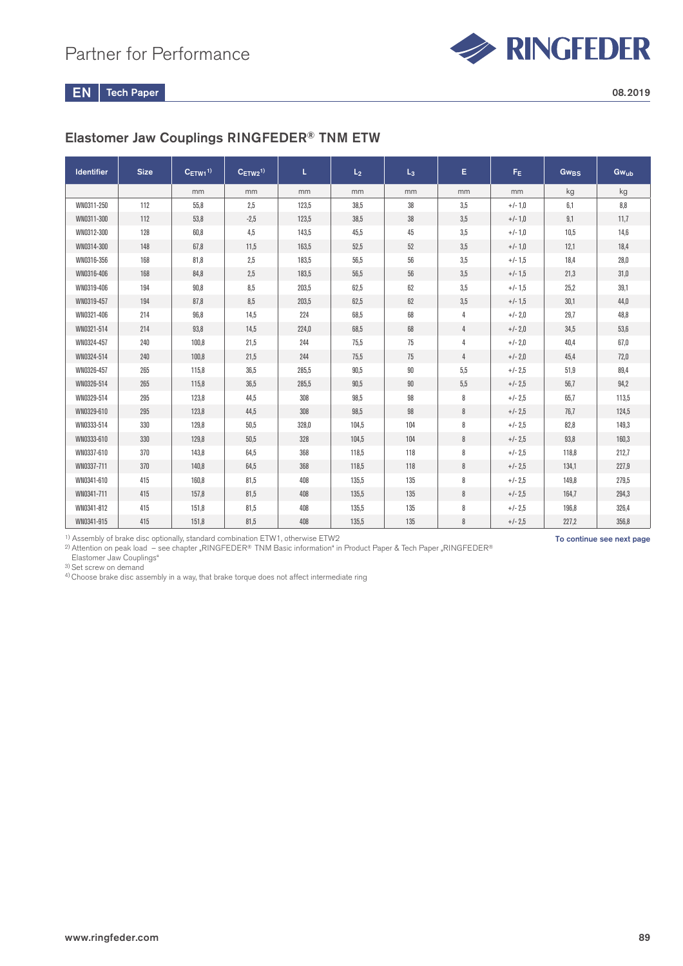

# Elastomer Jaw Couplings RINGFEDER® TNM ETW

| <b>Identifier</b> | <b>Size</b> | $C_{ETW1}^{1}$ | $C_{ETW2}^{1)}$ | L     | L <sub>2</sub> | $L_3$  | E.             | $F_{E}$   | Gw <sub>BS</sub> | Gwub  |
|-------------------|-------------|----------------|-----------------|-------|----------------|--------|----------------|-----------|------------------|-------|
|                   |             | mm             | mm              | mm    | mm             | mm     | mm             | mm        | kg               | kg    |
| WN0311-250        | 112         | 55,8           | 2,5             | 123,5 | 38,5           | 38     | 3,5            | $+/-1,0$  | 6,1              | 8,8   |
| WN0311-300        | 112         | 53,8           | $-2,5$          | 123,5 | 38,5           | 38     | 3,5            | $+/-1,0$  | 9,1              | 11,7  |
| WN0312-300        | 128         | 60,8           | 4,5             | 143,5 | 45,5           | 45     | 3,5            | $+/-1,0$  | 10,5             | 14,6  |
| WN0314-300        | 148         | 67,8           | 11,5            | 163,5 | 52,5           | 52     | 3,5            | $+/-1,0$  | 12,1             | 18,4  |
| WN0316-356        | 168         | 81,8           | 2,5             | 183,5 | 56,5           | 56     | 3,5            | $+/-1,5$  | 18,4             | 28,0  |
| WN0316-406        | 168         | 84,8           | 2,5             | 183.5 | 56,5           | $56\,$ | 3,5            | $+/- 1,5$ | 21,3             | 31,0  |
| WN0319-406        | 194         | 90,8           | 8,5             | 203,5 | 62,5           | 62     | 3,5            | $+/-1,5$  | 25,2             | 39,1  |
| WN0319-457        | 194         | 87,8           | 8,5             | 203,5 | 62,5           | 62     | 3,5            | $+/-1.5$  | 30,1             | 44,0  |
| WN0321-406        | 214         | 96,8           | 14,5            | 224   | 68,5           | 68     | 4              | $+/- 2,0$ | 29,7             | 48,8  |
| WN0321-514        | 214         | 93,8           | 14,5            | 224,0 | 68,5           | 68     | 4              | $+/- 2,0$ | 34,5             | 53,6  |
| WN0324-457        | 240         | 100,8          | 21,5            | 244   | 75,5           | 75     | 4              | $+/- 2,0$ | 40,4             | 67,0  |
| WN0324-514        | 240         | 100.8          | 21,5            | 244   | 75,5           | 75     | $\overline{4}$ | $+/- 2,0$ | 45,4             | 72,0  |
| WN0326-457        | 265         | 115,8          | 36,5            | 285,5 | 90,5           | $90\,$ | 5,5            | $+/- 2.5$ | 51,9             | 89,4  |
| WN0326-514        | 265         | 115,8          | 36,5            | 285,5 | 90,5           | $90\,$ | 5,5            | $+/- 2.5$ | 56,7             | 94,2  |
| WN0329-514        | 295         | 123,8          | 44,5            | 308   | 98,5           | 98     | 8              | $+/- 2.5$ | 65,7             | 113,5 |
| WN0329-610        | 295         | 123.8          | 44,5            | 308   | 98,5           | 98     | 8              | $+/- 2.5$ | 76,7             | 124,5 |
| WN0333-514        | 330         | 129,8          | 50,5            | 328,0 | 104,5          | 104    | 8              | $+/- 2.5$ | 82,8             | 149,3 |
| WN0333-610        | 330         | 129.8          | 50,5            | 328   | 104,5          | 104    | 8              | $+/- 2.5$ | 93.8             | 160,3 |
| WN0337-610        | 370         | 143,8          | 64,5            | 368   | 118,5          | 118    | 8              | $+/- 2.5$ | 118,8            | 212,7 |
| WN0337-711        | 370         | 140,8          | 64,5            | 368   | 118,5          | 118    | 8              | $+/- 2.5$ | 134,1            | 227,9 |
| WN0341-610        | 415         | 160,8          | 81,5            | 408   | 135,5          | 135    | 8              | $+/- 2.5$ | 149,8            | 279,5 |
| WN0341-711        | 415         | 157.8          | 81,5            | 408   | 135,5          | 135    | 8              | $+/- 2.5$ | 164.7            | 294,3 |
| WN0341-812        | 415         | 151,8          | 81,5            | 408   | 135,5          | 135    | 8              | $+/- 2.5$ | 196,8            | 326,4 |
| WN0341-915        | 415         | 151,8          | 81,5            | 408   | 135,5          | 135    | 8              | $+/- 2.5$ | 227,2            | 356,8 |

1) Assembly of brake disc optionally, standard combination ETW1, otherwise ETW2

 $^{2)}$ Attention on peak load – see chapter "RINGFEDER® TNM Basic information" in Product Paper & Tech Paper "RINGFEDER® Elastomer Jaw Couplings"

3) Set screw on demand

4) Choose brake disc assembly in a way, that brake torque does not affect intermediate ring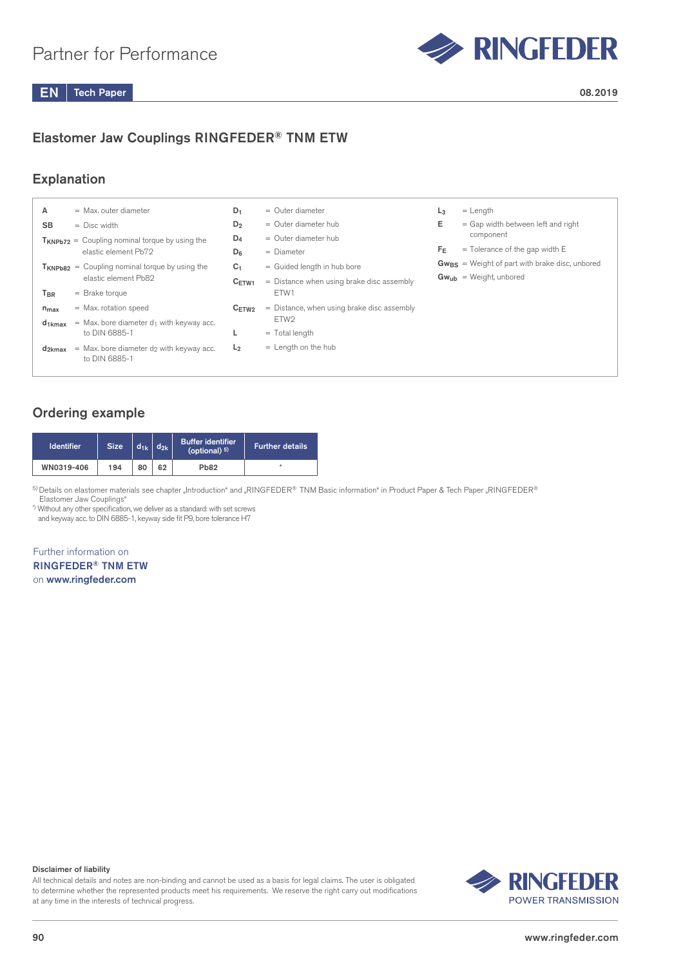

# Elastomer Jaw Couplings RINGFEDER® TNM ETW

## Explanation

| А               | $=$ Max, outer diameter                                                 | $D_1$          | $=$ Outer diameter                           | $L_3$   | $=$ Length                                          |
|-----------------|-------------------------------------------------------------------------|----------------|----------------------------------------------|---------|-----------------------------------------------------|
| <b>SB</b>       | $=$ Disc width                                                          | $D_2$          | $=$ Outer diameter hub                       | Е       | $=$ Gap width between left and right                |
|                 | $T_{KNPb72}$ = Coupling nominal torque by using the                     | $D_4$          | $=$ Outer diameter hub                       |         | component                                           |
|                 | elastic element Pb72                                                    | $D_{6}$        | $=$ Diameter                                 | $F_{E}$ | $=$ Tolerance of the gap width E                    |
|                 | $T_{KNPb82}$ = Coupling nominal torque by using the                     | C <sub>1</sub> | = Guided length in hub bore                  |         | $Gw_{BS}$ = Weight of part with brake disc, unbored |
|                 | elastic element Pb82                                                    | $C_{ETW1}$     | $=$ Distance when using brake disc assembly  |         | $Gw_{ub}$ = Weight, unbored                         |
| T <sub>BR</sub> | $=$ Brake torque                                                        |                | ETW1                                         |         |                                                     |
| $n_{max}$       | $=$ Max. rotation speed                                                 | $C_{ETW2}$     | $=$ Distance, when using brake disc assembly |         |                                                     |
| $d_{1kmax}$     | $=$ Max. bore diameter d <sub>1</sub> with keyway acc.                  |                | ETW <sub>2</sub>                             |         |                                                     |
|                 | to DIN 6885-1                                                           |                | $=$ Total length                             |         |                                                     |
| $d_{2kmax}$     | $=$ Max. bore diameter d <sub>2</sub> with keyway acc.<br>to DIN 6885-1 | L <sub>2</sub> | $=$ Length on the hub                        |         |                                                     |

# Ordering example

| <b>Identifier</b> | <b>Size</b> | $d_{1k}$ | $\mathbf{d}_{2k}$ . | <b>Buffer identifier</b><br>(optional) $5$ ) | Further details |
|-------------------|-------------|----------|---------------------|----------------------------------------------|-----------------|
| WN0319-406        | 194         | 80       | 62                  | <b>Pb82</b>                                  |                 |

5) Details on elastomer materials see chapter "Introduction" and "RINGFEDER® TNM Basic information" in Product Paper & Tech Paper "RINGFEDER® Elastomer Jaw Couplings"

\*) Without any other specification, we deliver as a standard: with set screws

and keyway acc. to DIN 6885-1, keyway side fit P9, bore tolerance H7

Further information on RINGFEDER® TNM ETW on www.ringfeder.com

#### Disclaimer of liability

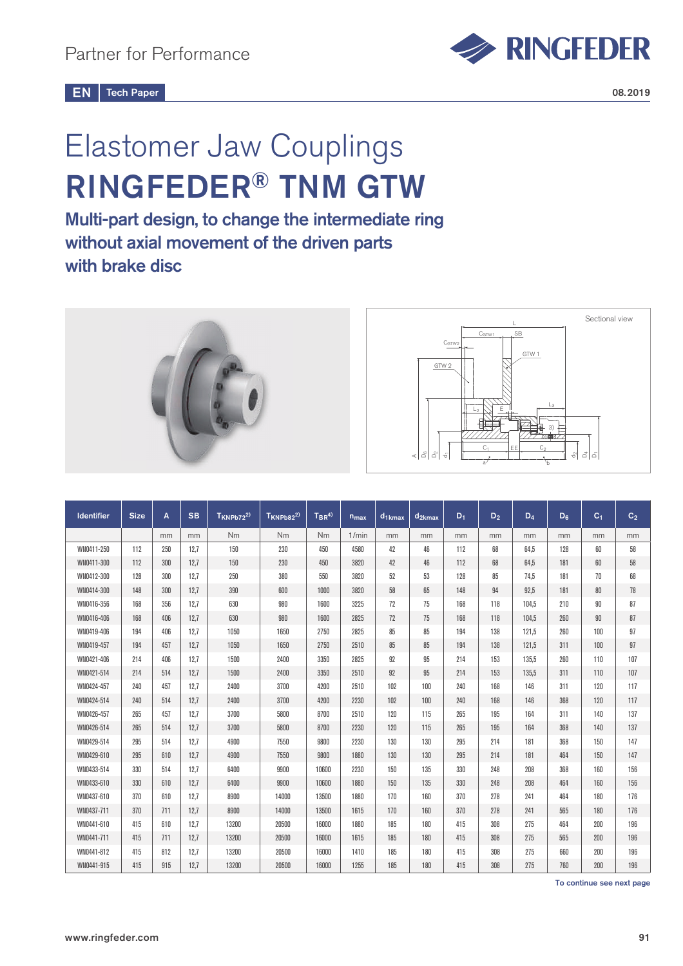

# Elastomer Jaw Couplings RINGFEDER® TNM GTW

Multi-part design, to change the intermediate ring without axial movement of the driven parts with brake disc



| <b>Identifier</b> | <b>Size</b> | A   | <b>SB</b> | $T_{KNPb72}^{2)}$ | $T_{KNPb82}^{2)}$ | $T_{BR}^{(4)}$ | $n_{max}$ | $d_{1kmax}$ | $d_{2kmax}$ | $D_1$ | D <sub>2</sub> | $D_4$ | $D_6$ | C <sub>1</sub> | C <sub>2</sub> |
|-------------------|-------------|-----|-----------|-------------------|-------------------|----------------|-----------|-------------|-------------|-------|----------------|-------|-------|----------------|----------------|
|                   |             | mm  | mm        | Nm                | Nm                | Nm             | 1/min     | mm          | mm          | mm    | mm             | mm    | mm    | mm             | mm             |
| WN0411-250        | 112         | 250 | 12.7      | 150               | 230               | 450            | 4580      | 42          | 46          | 112   | 68             | 64.5  | 128   | 60             | 58             |
| WN0411-300        | 112         | 300 | 12,7      | 150               | 230               | 450            | 3820      | 42          | 46          | 112   | 68             | 64.5  | 181   | 60             | 58             |
| WN0412-300        | 128         | 300 | 12,7      | 250               | 380               | 550            | 3820      | 52          | 53          | 128   | 85             | 74.5  | 181   | 70             | 68             |
| WN0414-300        | 148         | 300 | 12,7      | 390               | 600               | 1000           | 3820      | 58          | 65          | 148   | 94             | 92,5  | 181   | 80             | 78             |
| WN0416-356        | 168         | 356 | 12.7      | 630               | 980               | 1600           | 3225      | 72          | 75          | 168   | 118            | 104.5 | 210   | 90             | 87             |
| WN0416-406        | 168         | 406 | 12,7      | 630               | 980               | 1600           | 2825      | 72          | 75          | 168   | 118            | 104.5 | 260   | 90             | 87             |
| WN0419-406        | 194         | 406 | 12,7      | 1050              | 1650              | 2750           | 2825      | 85          | 85          | 194   | 138            | 121,5 | 260   | 100            | 97             |
| WN0419-457        | 194         | 457 | 12,7      | 1050              | 1650              | 2750           | 2510      | 85          | 85          | 194   | 138            | 121,5 | 311   | 100            | 97             |
| WN0421-406        | 214         | 406 | 12.7      | 1500              | 2400              | 3350           | 2825      | 92          | 95          | 214   | 153            | 135.5 | 260   | 110            | 107            |
| WN0421-514        | 214         | 514 | 12,7      | 1500              | 2400              | 3350           | 2510      | 92          | 95          | 214   | 153            | 135.5 | 311   | 110            | 107            |
| WN0424-457        | 240         | 457 | 12.7      | 2400              | 3700              | 4200           | 2510      | 102         | 100         | 240   | 168            | 146   | 311   | 120            | 117            |
| WN0424-514        | 240         | 514 | 12,7      | 2400              | 3700              | 4200           | 2230      | 102         | 100         | 240   | 168            | 146   | 368   | 120            | 117            |
| WN0426-457        | 265         | 457 | 12,7      | 3700              | 5800              | 8700           | 2510      | 120         | 115         | 265   | 195            | 164   | 311   | 140            | 137            |
| WN0426-514        | 265         | 514 | 12.7      | 3700              | 5800              | 8700           | 2230      | 120         | 115         | 265   | 195            | 164   | 368   | 140            | 137            |
| WN0429-514        | 295         | 514 | 12,7      | 4900              | 7550              | 9800           | 2230      | 130         | 130         | 295   | 214            | 181   | 368   | 150            | 147            |
| WN0429-610        | 295         | 610 | 12,7      | 4900              | 7550              | 9800           | 1880      | 130         | 130         | 295   | 214            | 181   | 464   | 150            | 147            |
| WN0433-514        | 330         | 514 | 12,7      | 6400              | 9900              | 10600          | 2230      | 150         | 135         | 330   | 248            | 208   | 368   | 160            | 156            |
| WN0433-610        | 330         | 610 | 12,7      | 6400              | 9900              | 10600          | 1880      | 150         | 135         | 330   | 248            | 208   | 464   | 160            | 156            |
| WN0437-610        | 370         | 610 | 12,7      | 8900              | 14000             | 13500          | 1880      | 170         | 160         | 370   | 278            | 241   | 464   | 180            | 176            |
| WN0437-711        | 370         | 711 | 12,7      | 8900              | 14000             | 13500          | 1615      | 170         | 160         | 370   | 278            | 241   | 565   | 180            | 176            |
| WN0441-610        | 415         | 610 | 12,7      | 13200             | 20500             | 16000          | 1880      | 185         | 180         | 415   | 308            | 275   | 464   | 200            | 196            |
| WN0441-711        | 415         | 711 | 12,7      | 13200             | 20500             | 16000          | 1615      | 185         | 180         | 415   | 308            | 275   | 565   | 200            | 196            |
| WN0441-812        | 415         | 812 | 12,7      | 13200             | 20500             | 16000          | 1410      | 185         | 180         | 415   | 308            | 275   | 660   | 200            | 196            |
| WN0441-915        | 415         | 915 | 12.7      | 13200             | 20500             | 16000          | 1255      | 185         | 180         | 415   | 308            | 275   | 760   | 200            | 196            |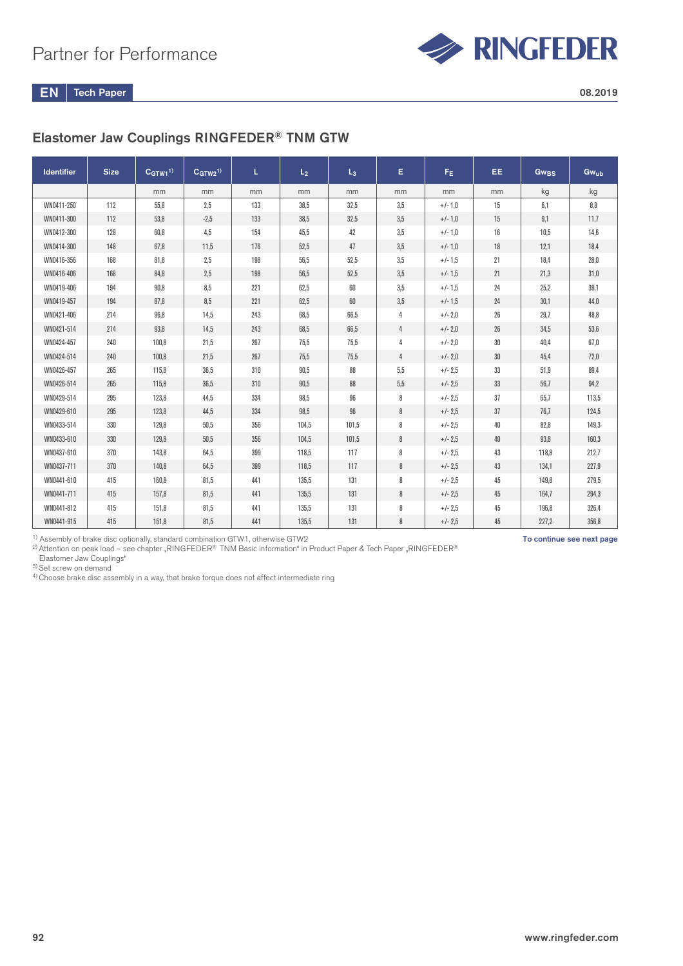

# Elastomer Jaw Couplings RINGFEDER® TNM GTW

| <b>Identifier</b> | <b>Size</b> | C <sub>GTW1</sub> <sup>1</sup> | $C_{GTW2}^{1)}$ | L   | L <sub>2</sub> | $L_3$ | E.  | F <sub>E</sub> | EE.    | Gw <sub>BS</sub> | Gwub  |
|-------------------|-------------|--------------------------------|-----------------|-----|----------------|-------|-----|----------------|--------|------------------|-------|
|                   |             | mm                             | mm              | mm  | mm             | mm    | mm  | mm             | mm     | kg               | kg    |
| WN0411-250        | 112         | 55.8                           | 2.5             | 133 | 38.5           | 32.5  | 3.5 | $+/-1,0$       | 15     | 6,1              | 8,8   |
| WN0411-300        | 112         | 53.8                           | $-2.5$          | 133 | 38.5           | 32.5  | 3.5 | $+/-1,0$       | 15     | 9,1              | 11,7  |
| WN0412-300        | 128         | 60,8                           | 4,5             | 154 | 45,5           | 42    | 3,5 | $+/-1,0$       | 16     | 10,5             | 14,6  |
| WN0414-300        | 148         | 67,8                           | 11,5            | 176 | 52,5           | 47    | 3,5 | $+/-1,0$       | 18     | 12,1             | 18,4  |
| WN0416-356        | 168         | 81,8                           | 2,5             | 198 | 56,5           | 52,5  | 3,5 | $+/-1.5$       | 21     | 18,4             | 28,0  |
| WN0416-406        | 168         | 84,8                           | 2,5             | 198 | 56.5           | 52,5  | 3,5 | $+/- 1,5$      | 21     | 21,3             | 31,0  |
| WN0419-406        | 194         | 90.8                           | 8,5             | 221 | 62.5           | 60    | 3,5 | $+/-1,5$       | 24     | 25,2             | 39,1  |
| WN0419-457        | 194         | 87.8                           | 8.5             | 221 | 62.5           | 60    | 3,5 | $+/-1.5$       | 24     | 30,1             | 44,0  |
| WN0421-406        | 214         | 96,8                           | 14,5            | 243 | 68,5           | 66,5  | 4   | $+/- 2.0$      | 26     | 29,7             | 48,8  |
| WN0421-514        | 214         | 93,8                           | 14,5            | 243 | 68,5           | 66,5  | 4   | $+/- 2.0$      | 26     | 34,5             | 53,6  |
| WN0424-457        | 240         | 100,8                          | 21,5            | 267 | 75,5           | 75,5  | 4   | $+/- 2,0$      | 30     | 40,4             | 67,0  |
| WN0424-514        | 240         | 100,8                          | 21,5            | 267 | 75,5           | 75,5  | 4   | $+/- 2.0$      | $30\,$ | 45,4             | 72,0  |
| WN0426-457        | 265         | 115,8                          | 36,5            | 310 | 90,5           | 88    | 5,5 | $+/- 2.5$      | 33     | 51,9             | 89,4  |
| WN0426-514        | 265         | 115,8                          | 36,5            | 310 | 90.5           | 88    | 5,5 | $+/- 2.5$      | 33     | 56,7             | 94,2  |
| WN0429-514        | 295         | 123,8                          | 44,5            | 334 | 98,5           | 96    | 8   | $+/- 2.5$      | 37     | 65,7             | 113,5 |
| WN0429-610        | 295         | 123,8                          | 44,5            | 334 | 98,5           | 96    | 8   | $+/- 2.5$      | 37     | 76,7             | 124,5 |
| WN0433-514        | 330         | 129,8                          | 50,5            | 356 | 104,5          | 101,5 | 8   | $+/- 2.5$      | 40     | 82,8             | 149,3 |
| WN0433-610        | 330         | 129,8                          | 50,5            | 356 | 104,5          | 101,5 | 8   | $+/- 2.5$      | 40     | 93,8             | 160,3 |
| WN0437-610        | 370         | 143,8                          | 64,5            | 399 | 118,5          | 117   | 8   | $+/- 2.5$      | 43     | 118,8            | 212,7 |
| WN0437-711        | 370         | 140,8                          | 64,5            | 399 | 118.5          | 117   | 8   | $+/- 2.5$      | 43     | 134,1            | 227,9 |
| WN0441-610        | 415         | 160,8                          | 81,5            | 441 | 135,5          | 131   | 8   | $+/- 2.5$      | 45     | 149,8            | 279,5 |
| WN0441-711        | 415         | 157.8                          | 81,5            | 441 | 135.5          | 131   | 8   | $+/- 2.5$      | 45     | 164,7            | 294,3 |
| WN0441-812        | 415         | 151,8                          | 81,5            | 441 | 135.5          | 131   | 8   | $+/- 2.5$      | 45     | 196,8            | 326,4 |
| WN0441-915        | 415         | 151,8                          | 81,5            | 441 | 135.5          | 131   | 8   | $+/- 2.5$      | 45     | 227,2            | 356,8 |

<sup>1)</sup> Assembly of brake disc optionally, standard combination GTW1, otherwise GTW2

 $^{2)}$ Attention on peak load – see chapter "RINGFEDER® TNM Basic information" in Product Paper & Tech Paper "RINGFEDER® Elastomer Jaw Couplings"

3) Set screw on demand

 $4)$  Choose brake disc assembly in a way, that brake torque does not affect intermediate ring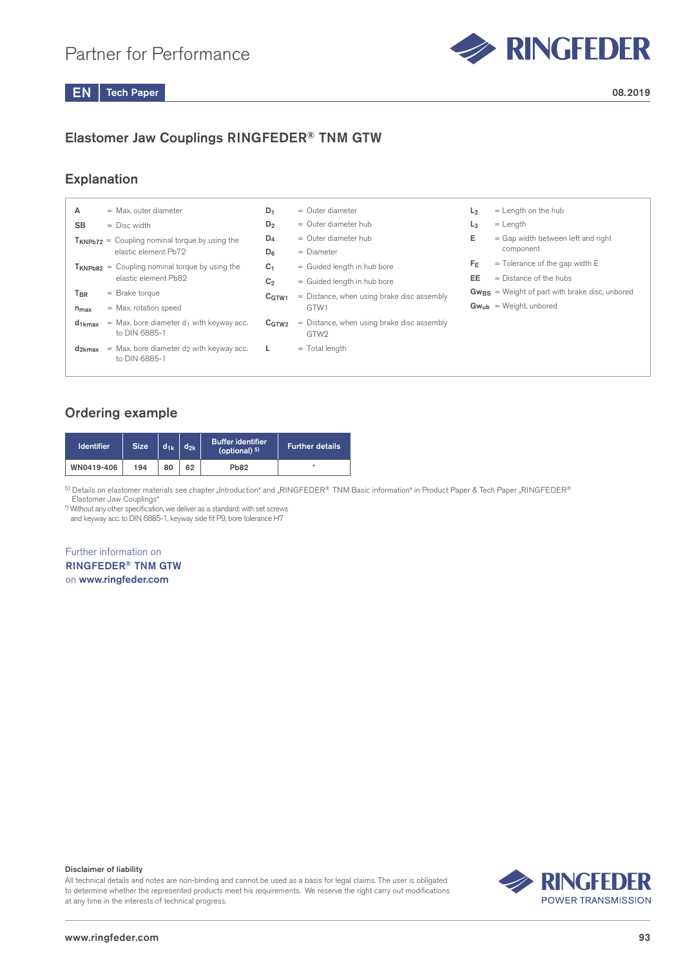

# Elastomer Jaw Couplings RINGFEDER® TNM GTW

# Explanation

| А               | $=$ Max, outer diameter                                                 | $D_1$             | $=$ Outer diameter                                               | L <sub>2</sub> | $=$ Length on the hub                               |
|-----------------|-------------------------------------------------------------------------|-------------------|------------------------------------------------------------------|----------------|-----------------------------------------------------|
| <b>SB</b>       | $=$ Disc width                                                          | $D_2$             | $=$ Outer diameter hub                                           | $L_3$          | $=$ Length                                          |
|                 | $T_{KNPb72}$ = Coupling nominal torque by using the                     | $D_4$             | $=$ Outer diameter hub                                           | Е              | $=$ Gap width between left and right                |
|                 | elastic element Pb72                                                    |                   | $=$ Diameter                                                     |                | component                                           |
|                 | $T_{KNPb82}$ = Coupling nominal torque by using the                     | C <sub>1</sub>    | = Guided length in hub bore                                      | $F_E$          | $=$ Tolerance of the gap width E                    |
|                 | elastic element Pb82                                                    | C <sub>2</sub>    | = Guided length in hub bore                                      | EE             | $=$ Distance of the hubs                            |
| T <sub>BR</sub> | $=$ Brake torque                                                        | C <sub>GTW1</sub> | $=$ Distance, when using brake disc assembly                     |                | $Gw_{BS}$ = Weight of part with brake disc, unbored |
| $n_{max}$       | $=$ Max. rotation speed                                                 |                   | GTW1                                                             |                | $Gw_{ub}$ = Weight, unbored                         |
| $d_{1kmax}$     | $=$ Max. bore diameter $d_1$ with keyway acc.<br>to DIN 6885-1          | C <sub>GTW2</sub> | $=$ Distance, when using brake disc assembly<br>GTW <sub>2</sub> |                |                                                     |
| $d_{2kmax}$     | $=$ Max. bore diameter d <sub>2</sub> with keyway acc.<br>to DIN 6885-1 |                   | $=$ Total length                                                 |                |                                                     |

## Ordering example

| <b>Identifier</b> | <b>Size</b> | $d_{1k}$ | $d_{2k}$ | <b>Buffer identifier</b><br>(optional) $5$ ) | Further details |
|-------------------|-------------|----------|----------|----------------------------------------------|-----------------|
| WN0419-406        | 194         | 80       | 62       | <b>Pb82</b>                                  |                 |

<sup>5)</sup> Details on elastomer materials see chapter "Introduction" and "RINGFEDER® TNM Basic information" in Product Paper & Tech Paper "RINGFEDER® Elastomer Jaw Couplings"

\*) Without any other specification, we deliver as a standard: with set screws and keyway acc. to DIN 6885-1, keyway side fit P9, bore tolerance H7

### Further information on RINGFEDER® TNM GTW on www.ringfeder.com

#### Disclaimer of liability

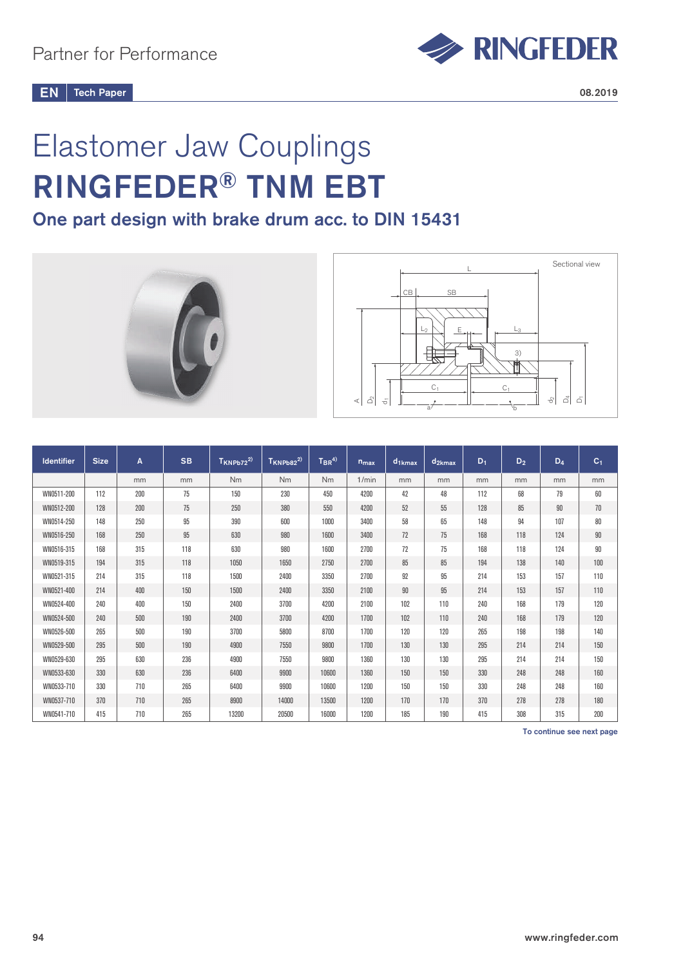

# Elastomer Jaw Couplings RINGFEDER® TNM EBT

# One part design with brake drum acc. to DIN 15431





| <b>Identifier</b> | <b>Size</b> | A   | <b>SB</b> | $T_{KNPb72}^2$ | $T_{KNPb82}^{2)}$ | ${\sf T}_{\sf BR}^{\sf 4)}$ | $n_{max}$ | $d_1$ <sub>kmax</sub> | d <sub>2kmax</sub> | $D_1$ | $D_2$ | $D_4$ | C <sub>1</sub> |
|-------------------|-------------|-----|-----------|----------------|-------------------|-----------------------------|-----------|-----------------------|--------------------|-------|-------|-------|----------------|
|                   |             | mm  | mm        | <b>Nm</b>      | Nm                | <b>Nm</b>                   | 1/min     | mm                    | mm                 | mm    | mm    | mm    | mm             |
| WN0511-200        | 112         | 200 | 75        | 150            | 230               | 450                         | 4200      | 42                    | 48                 | 112   | 68    | 79    | 60             |
| WN0512-200        | 128         | 200 | 75        | 250            | 380               | 550                         | 4200      | 52                    | 55                 | 128   | 85    | 90    | 70             |
| WN0514-250        | 148         | 250 | 95        | 390            | 600               | 1000                        | 3400      | 58                    | 65                 | 148   | 94    | 107   | 80             |
| WN0516-250        | 168         | 250 | 95        | 630            | 980               | 1600                        | 3400      | 72                    | 75                 | 168   | 118   | 124   | 90             |
| WN0516-315        | 168         | 315 | 118       | 630            | 980               | 1600                        | 2700      | 72                    | 75                 | 168   | 118   | 124   | 90             |
| WN0519-315        | 194         | 315 | 118       | 1050           | 1650              | 2750                        | 2700      | 85                    | 85                 | 194   | 138   | 140   | 100            |
| WN0521-315        | 214         | 315 | 118       | 1500           | 2400              | 3350                        | 2700      | 92                    | 95                 | 214   | 153   | 157   | 110            |
| WN0521-400        | 214         | 400 | 150       | 1500           | 2400              | 3350                        | 2100      | 90                    | 95                 | 214   | 153   | 157   | 110            |
| WN0524-400        | 240         | 400 | 150       | 2400           | 3700              | 4200                        | 2100      | 102                   | 110                | 240   | 168   | 179   | 120            |
| WN0524-500        | 240         | 500 | 190       | 2400           | 3700              | 4200                        | 1700      | 102                   | 110                | 240   | 168   | 179   | 120            |
| WN0526-500        | 265         | 500 | 190       | 3700           | 5800              | 8700                        | 1700      | 120                   | 120                | 265   | 198   | 198   | 140            |
| WN0529-500        | 295         | 500 | 190       | 4900           | 7550              | 9800                        | 1700      | 130                   | 130                | 295   | 214   | 214   | 150            |
| WN0529-630        | 295         | 630 | 236       | 4900           | 7550              | 9800                        | 1360      | 130                   | 130                | 295   | 214   | 214   | 150            |
| WN0533-630        | 330         | 630 | 236       | 6400           | 9900              | 10600                       | 1360      | 150                   | 150                | 330   | 248   | 248   | 160            |
| WN0533-710        | 330         | 710 | 265       | 6400           | 9900              | 10600                       | 1200      | 150                   | 150                | 330   | 248   | 248   | 160            |
| WN0537-710        | 370         | 710 | 265       | 8900           | 14000             | 13500                       | 1200      | 170                   | 170                | 370   | 278   | 278   | 180            |
| WN0541-710        | 415         | 710 | 265       | 13200          | 20500             | 16000                       | 1200      | 185                   | 190                | 415   | 308   | 315   | 200            |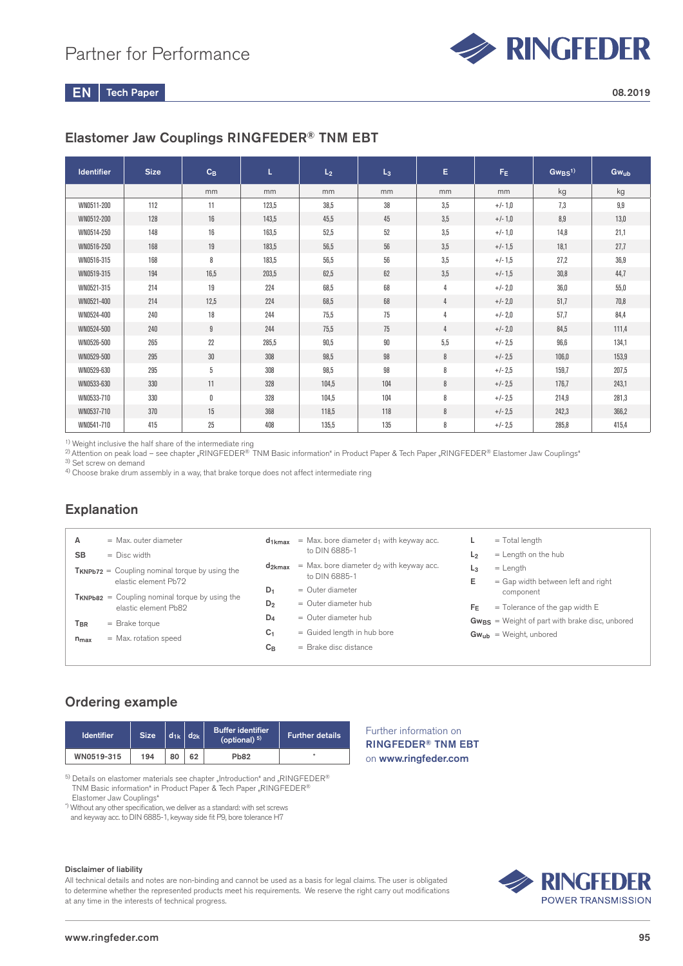

# Elastomer Jaw Couplings RINGFEDER® TNM EBT

| <b>Identifier</b> | <b>Size</b> | $C_B$ | L     | L <sub>2</sub> | $L_3$ | Е              | $F_E$     | $Gw_{BS}^{(1)}$ | Gwub  |
|-------------------|-------------|-------|-------|----------------|-------|----------------|-----------|-----------------|-------|
|                   |             | mm    | mm    | mm             | mm    | mm             | mm        | kg              | kg    |
| WN0511-200        | 112         | 11    | 123,5 | 38.5           | 38    | 3,5            | $+/-1.0$  | 7,3             | 9,9   |
| WN0512-200        | 128         | 16    | 143,5 | 45,5           | 45    | 3,5            | $+/-1,0$  | 8,9             | 13,0  |
| WN0514-250        | 148         | 16    | 163,5 | 52,5           | 52    | 3,5            | $+/-1,0$  | 14,8            | 21,1  |
| WN0516-250        | 168         | 19    | 183,5 | 56,5           | 56    | 3,5            | $+/-1.5$  | 18,1            | 27,7  |
| WN0516-315        | 168         | 8     | 183,5 | 56.5           | 56    | 3,5            | $+/-1.5$  | 27,2            | 36,9  |
| WN0519-315        | 194         | 16,5  | 203,5 | 62,5           | 62    | 3,5            | $+/-1.5$  | 30,8            | 44,7  |
| WN0521-315        | 214         | 19    | 224   | 68,5           | 68    | $\overline{4}$ | $+/- 2,0$ | 36,0            | 55,0  |
| WN0521-400        | 214         | 12,5  | 224   | 68,5           | 68    | 4              | $+/- 2.0$ | 51,7            | 70,8  |
| WN0524-400        | 240         | 18    | 244   | 75,5           | 75    | 4              | $+/- 2,0$ | 57,7            | 84,4  |
| WN0524-500        | 240         | 9     | 244   | 75,5           | 75    | 4              | $+/- 2.0$ | 84,5            | 111,4 |
| WN0526-500        | 265         | 22    | 285,5 | 90,5           | 90    | 5,5            | $+/- 2.5$ | 96,6            | 134,1 |
| WN0529-500        | 295         | 30    | 308   | 98,5           | 98    | 8              | $+/- 2.5$ | 106,0           | 153,9 |
| WN0529-630        | 295         | 5     | 308   | 98,5           | 98    | 8              | $+/- 2.5$ | 159,7           | 207,5 |
| WN0533-630        | 330         | 11    | 328   | 104,5          | 104   | 8              | $+/- 2.5$ | 176,7           | 243,1 |
| WN0533-710        | 330         | 0     | 328   | 104,5          | 104   | 8              | $+/- 2.5$ | 214,9           | 281,3 |
| WN0537-710        | 370         | 15    | 368   | 118,5          | 118   | 8              | $+/- 2.5$ | 242,3           | 366,2 |
| WN0541-710        | 415         | 25    | 408   | 135,5          | 135   | 8              | $+/- 2.5$ | 285,8           | 415,4 |

<sup>1)</sup> Weight inclusive the half share of the intermediate ring

 $^{2)}$ Attention on peak load – see chapter "RINGFEDER® TNM Basic information" in Product Paper & Tech Paper "RINGFEDER® Elastomer Jaw Couplings"

3) Set screw on demand

4) Choose brake drum assembly in a way, that brake torque does not affect intermediate ring

## Explanation

| А<br><b>SB</b>               | $=$ Max, outer diameter<br>$=$ Disc width                                   | d <sub>1kmax</sub>               | $=$ Max. bore diameter $d_1$ with keyway acc.<br>to DIN 6885-1                   | L <sub>2</sub>      | $=$ Total length<br>$=$ Length on the hub                                          |
|------------------------------|-----------------------------------------------------------------------------|----------------------------------|----------------------------------------------------------------------------------|---------------------|------------------------------------------------------------------------------------|
|                              | $T_{KNPb72}$ = Coupling nominal torque by using the<br>elastic element Pb72 | $d_{2kmax}$                      | $=$ Max. bore diameter do with keyway acc.<br>to DIN 6885-1                      | L <sub>3</sub><br>E | $=$ Length<br>= Gap width between left and right                                   |
|                              | $T_{KNPb82}$ = Coupling nominal torque by using the<br>elastic element Pb82 | $D_1$<br>$D_2$                   | $=$ Outer diameter<br>$=$ Outer diameter hub                                     | FF                  | component<br>$=$ Tolerance of the gap width E                                      |
| T <sub>BR</sub><br>$n_{max}$ | $=$ Brake torque<br>$=$ Max. rotation speed                                 | $D_4$<br>C <sub>1</sub><br>$C_B$ | $=$ Outer diameter hub<br>= Guided length in hub bore<br>$=$ Brake disc distance |                     | $Gw_{BS}$ = Weight of part with brake disc, unbored<br>$Gw_{ub}$ = Weight, unbored |
|                              |                                                                             |                                  |                                                                                  |                     |                                                                                    |

Further information on RINGFEDER® TNM EBT on www.ringfeder.com

# Ordering example

| <b>Identifier</b> | <b>Size</b> |    | $d_{1k}$ $d_{2k}$ | <b>Buffer identifier</b><br>(optional) $5$ ) | <b>Further details</b> |
|-------------------|-------------|----|-------------------|----------------------------------------------|------------------------|
| WN0519-315        | 194         | 80 | 62                | <b>Pb82</b>                                  |                        |

 $5)$  Details on elastomer materials see chapter "Introduction" and "RINGFEDER® TNM Basic information" in Product Paper & Tech Paper "RINGFEDER® Elastomer Jaw Couplings"

\*) Without any other specification, we deliver as a standard: with set screws and keyway acc. to DIN 6885-1, keyway side fit P9, bore tolerance H7

Disclaimer of liability

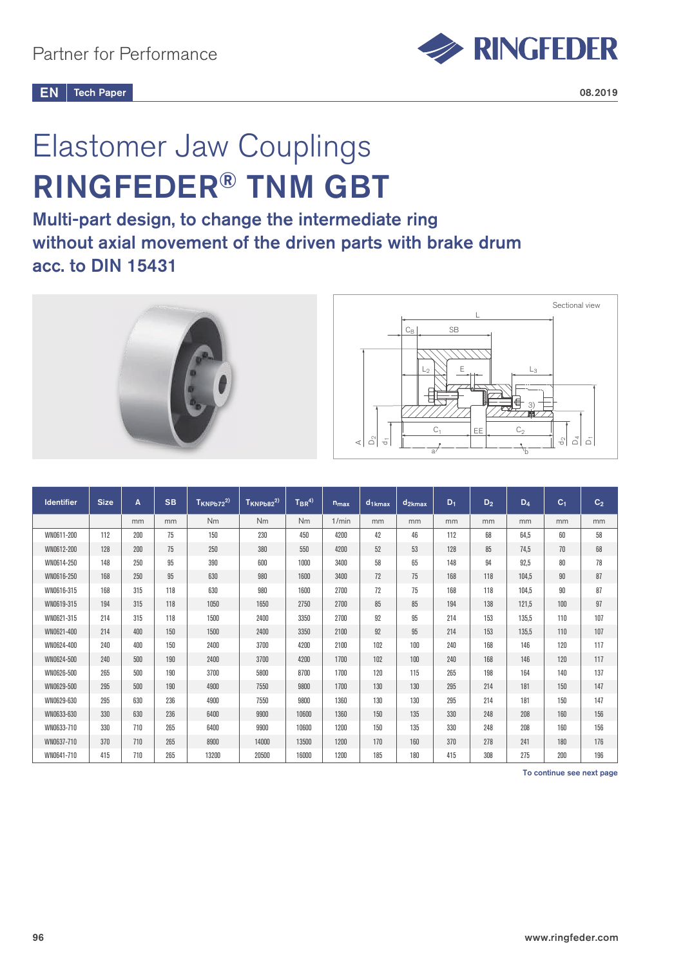

# Elastomer Jaw Couplings RINGFEDER® TNM GBT

Multi-part design, to change the intermediate ring without axial movement of the driven parts with brake drum acc. to DIN 15431





| <b>Identifier</b> | <b>Size</b> | A   | <b>SB</b> | $T_{KNPb72}^{2)}$ | $T_{KNPb82}^{2)}$ | $T_{BR}^{(4)}$ | $n_{max}$ | $d_{1kmax}$ | $d_{2kmax}$ | $D_1$ | $D_2$ | $D_4$ | C <sub>1</sub> | C <sub>2</sub> |
|-------------------|-------------|-----|-----------|-------------------|-------------------|----------------|-----------|-------------|-------------|-------|-------|-------|----------------|----------------|
|                   |             | mm  | mm        | <b>Nm</b>         | <b>Nm</b>         | <b>Nm</b>      | 1/min     | mm          | mm          | mm    | mm    | mm    | mm             | mm             |
| WN0611-200        | 112         | 200 | 75        | 150               | 230               | 450            | 4200      | 42          | 46          | 112   | 68    | 64,5  | 60             | 58             |
| WN0612-200        | 128         | 200 | 75        | 250               | 380               | 550            | 4200      | 52          | 53          | 128   | 85    | 74.5  | 70             | 68             |
| WN0614-250        | 148         | 250 | 95        | 390               | 600               | 1000           | 3400      | 58          | 65          | 148   | 94    | 92,5  | $80\,$         | 78             |
| WN0616-250        | 168         | 250 | 95        | 630               | 980               | 1600           | 3400      | 72          | 75          | 168   | 118   | 104.5 | 90             | 87             |
| WN0616-315        | 168         | 315 | 118       | 630               | 980               | 1600           | 2700      | 72          | 75          | 168   | 118   | 104,5 | 90             | 87             |
| WN0619-315        | 194         | 315 | 118       | 1050              | 1650              | 2750           | 2700      | 85          | 85          | 194   | 138   | 121.5 | 100            | 97             |
| WN0621-315        | 214         | 315 | 118       | 1500              | 2400              | 3350           | 2700      | 92          | 95          | 214   | 153   | 135,5 | 110            | 107            |
| WN0621-400        | 214         | 400 | 150       | 1500              | 2400              | 3350           | 2100      | 92          | 95          | 214   | 153   | 135,5 | 110            | 107            |
| WN0624-400        | 240         | 400 | 150       | 2400              | 3700              | 4200           | 2100      | 102         | 100         | 240   | 168   | 146   | 120            | 117            |
| WN0624-500        | 240         | 500 | 190       | 2400              | 3700              | 4200           | 1700      | 102         | 100         | 240   | 168   | 146   | 120            | 117            |
| WN0626-500        | 265         | 500 | 190       | 3700              | 5800              | 8700           | 1700      | 120         | 115         | 265   | 198   | 164   | 140            | 137            |
| WN0629-500        | 295         | 500 | 190       | 4900              | 7550              | 9800           | 1700      | 130         | 130         | 295   | 214   | 181   | 150            | 147            |
| WN0629-630        | 295         | 630 | 236       | 4900              | 7550              | 9800           | 1360      | 130         | 130         | 295   | 214   | 181   | 150            | 147            |
| WN0633-630        | 330         | 630 | 236       | 6400              | 9900              | 10600          | 1360      | 150         | 135         | 330   | 248   | 208   | 160            | 156            |
| WN0633-710        | 330         | 710 | 265       | 6400              | 9900              | 10600          | 1200      | 150         | 135         | 330   | 248   | 208   | 160            | 156            |
| WN0637-710        | 370         | 710 | 265       | 8900              | 14000             | 13500          | 1200      | 170         | 160         | 370   | 278   | 241   | 180            | 176            |
| WN0641-710        | 415         | 710 | 265       | 13200             | 20500             | 16000          | 1200      | 185         | 180         | 415   | 308   | 275   | 200            | 196            |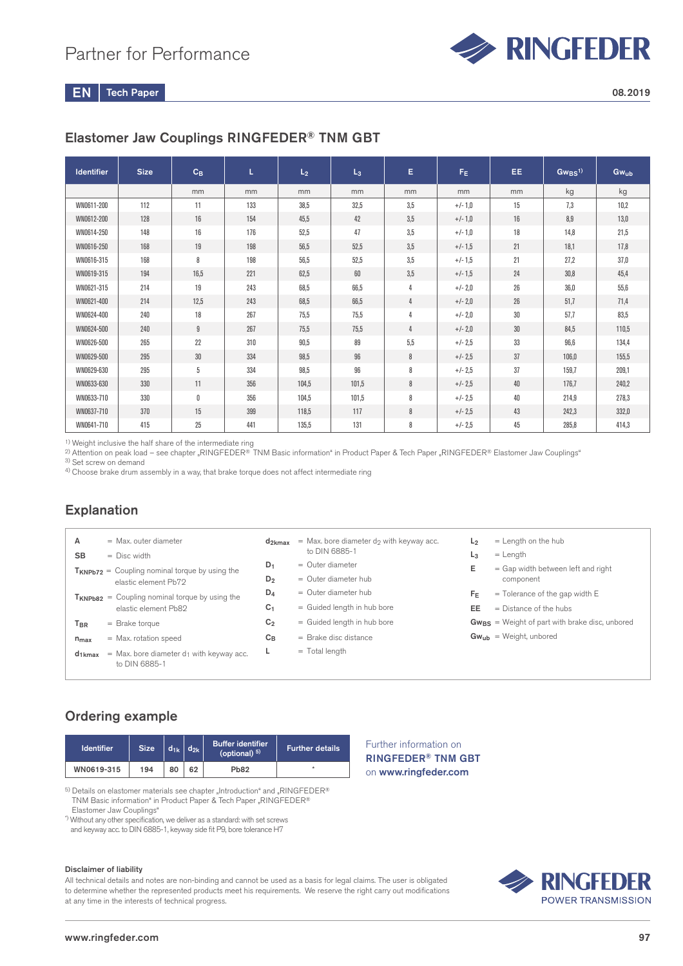

# Elastomer Jaw Couplings RINGFEDER® TNM GBT

| <b>Identifier</b> | <b>Size</b> | $C_B$       | L   | L <sub>2</sub> | $L_3$ | E   | $F_E$     | EE. | $Gw_{BS}$ <sup>1)</sup> | $Gw_{ub}$ |
|-------------------|-------------|-------------|-----|----------------|-------|-----|-----------|-----|-------------------------|-----------|
|                   |             | mm          | mm  | mm             | mm    | mm  | mm        | mm  | kg                      | kg        |
| WN0611-200        | 112         | 11          | 133 | 38,5           | 32,5  | 3,5 | $+/-1,0$  | 15  | 7,3                     | 10,2      |
| WN0612-200        | 128         | 16          | 154 | 45,5           | 42    | 3,5 | $+/-1,0$  | 16  | 8,9                     | 13,0      |
| WN0614-250        | 148         | 16          | 176 | 52,5           | 47    | 3,5 | $+/-1,0$  | 18  | 14,8                    | 21,5      |
| WN0616-250        | 168         | 19          | 198 | 56,5           | 52,5  | 3,5 | $+/-1,5$  | 21  | 18,1                    | 17,8      |
| WN0616-315        | 168         | 8           | 198 | 56,5           | 52,5  | 3,5 | $+/-1,5$  | 21  | 27,2                    | 37,0      |
| WN0619-315        | 194         | 16.5        | 221 | 62,5           | 60    | 3,5 | $+/-1,5$  | 24  | 30,8                    | 45,4      |
| WN0621-315        | 214         | 19          | 243 | 68,5           | 66,5  | 4   | $+/- 2,0$ | 26  | 36,0                    | 55,6      |
| WN0621-400        | 214         | 12.5        | 243 | 68,5           | 66,5  | 4   | $+/- 2,0$ | 26  | 51,7                    | 71,4      |
| WN0624-400        | 240         | 18          | 267 | 75,5           | 75,5  | 4   | $+/- 2,0$ | 30  | 57,7                    | 83,5      |
| WN0624-500        | 240         | 9           | 267 | 75,5           | 75.5  | 4   | $+/- 2,0$ | 30  | 84,5                    | 110,5     |
| WN0626-500        | 265         | 22          | 310 | 90,5           | 89    | 5,5 | $+/- 2.5$ | 33  | 96,6                    | 134,4     |
| WN0629-500        | 295         | 30          | 334 | 98,5           | 96    | 8   | $+/- 2.5$ | 37  | 106,0                   | 155,5     |
| WN0629-630        | 295         | 5           | 334 | 98,5           | 96    | 8   | $+/- 2.5$ | 37  | 159,7                   | 209,1     |
| WN0633-630        | 330         | 11          | 356 | 104,5          | 101,5 | 8   | $+/- 2,5$ | 40  | 176,7                   | 240,2     |
| WN0633-710        | 330         | $\mathbf 0$ | 356 | 104,5          | 101,5 | 8   | $+/- 2.5$ | 40  | 214,9                   | 278,3     |
| WN0637-710        | 370         | 15          | 399 | 118,5          | 117   | 8   | $+/- 2.5$ | 43  | 242,3                   | 332,0     |
| WN0641-710        | 415         | 25          | 441 | 135,5          | 131   | 8   | $+/- 2.5$ | 45  | 285,8                   | 414,3     |

<sup>1)</sup> Weight inclusive the half share of the intermediate ring

 $^{2)}$  Attention on peak load – see chapter "RINGFEDER® TNM Basic information" in Product Paper & Tech Paper "RINGFEDER® Elastomer Jaw Couplings"

<sup>3)</sup> Set screw on demand

4) Choose brake drum assembly in a way, that brake torque does not affect intermediate ring

## Explanation

| Α<br>$=$ Max, outer diameter<br><b>SB</b><br>$=$ Disc width                   | d <sub>2kmax</sub>      | $=$ Max, bore diameter do with keyway acc.<br>to DIN 6885-1 | $=$ Length on the hub<br>L <sub>2</sub><br>$=$ Length<br>L <sub>3</sub>  |
|-------------------------------------------------------------------------------|-------------------------|-------------------------------------------------------------|--------------------------------------------------------------------------|
| $T_{KNPb72}$ = Coupling nominal torque by using the<br>elastic element Pb72   | $D_1$<br>D <sub>2</sub> | $=$ Outer diameter<br>$=$ Outer diameter hub                | E<br>$=$ Gap width between left and right<br>component                   |
| $T_{KNPb82}$ = Coupling nominal torque by using the<br>elastic element Pb82   | $D_4$<br>C <sub>1</sub> | $=$ Outer diameter hub<br>= Guided length in hub bore       | $=$ Tolerance of the gap width E<br>FF<br>$=$ Distance of the hubs<br>EE |
| $T_{\sf BR}$<br>$=$ Brake torque                                              | C <sub>2</sub>          | = Guided length in hub bore                                 | $Gw_{BS}$ = Weight of part with brake disc, unbored                      |
| $=$ Max. rotation speed<br>$n_{max}$                                          | $C_{\text{B}}$          | $=$ Brake disc distance                                     | $Gw_{ub}$ = Weight, unbored                                              |
| $=$ Max. bore diameter $d_1$ with keyway acc.<br>$d_{1kmax}$<br>to DIN 6885-1 | ┺                       | $=$ Total length                                            |                                                                          |

## Ordering example

| <b>Identifier</b> | <b>Size</b> | $d_{1k}$ | $\overline{d}_{2k}$ | Buffer identifier<br>(optional) $5$ ) | <b>Further details</b> |  |
|-------------------|-------------|----------|---------------------|---------------------------------------|------------------------|--|
| WN0619-315        | 194         | 80       | 62                  | <b>Pb82</b>                           |                        |  |

 $^{5)}$  Details on elastomer materials see chapter "Introduction" and "RINGFEDER® TNM Basic information" in Product Paper & Tech Paper "RINGFEDER® Elastomer Jaw Couplings"

\*) Without any other specification, we deliver as a standard: with set screws

and keyway acc. to DIN 6885-1, keyway side fit P9, bore tolerance H7

#### Disclaimer of liability

All technical details and notes are non-binding and cannot be used as a basis for legal claims. The user is obligated to determine whether the represented products meet his requirements. We reserve the right carry out modifications at any time in the interests of technical progress.

Further information on RINGFEDER® TNM GBT on www.ringfeder.com

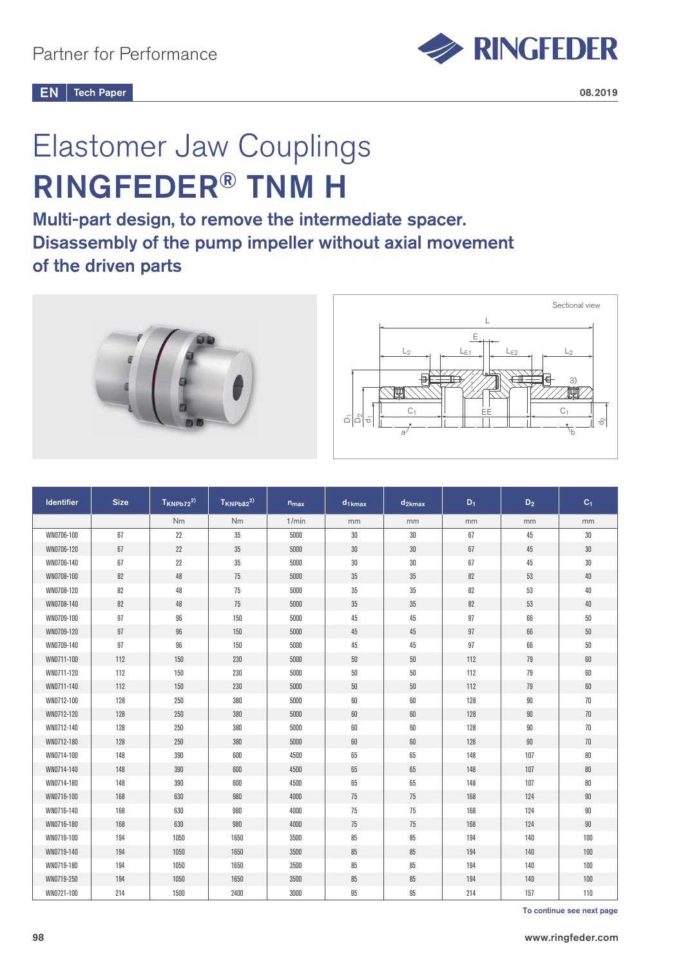

# Elastomer Jaw Couplings RINGFEDER® TNM H

Multi-part design, to remove the intermediate spacer. Disassembly of the pump impeller without axial movement of the driven parts



| <b>Identifier</b> | <b>Size</b> | $T_{KNPb72}^{2)}$ | $T_{KNPb82}^{2)}$ | $n_{max}$ | $d_{1kmax}$ | $d_{2kmax}$ | $D_1$ | $D_2$  | C <sub>1</sub> |
|-------------------|-------------|-------------------|-------------------|-----------|-------------|-------------|-------|--------|----------------|
|                   |             | Nm                | Nm                | 1/min     | mm          | mm          | mm    | mm     | mm             |
| WN0706-100        | 67          | 22                | 35                | 5000      | 30          | 30          | 67    | 45     | 30             |
| WN0706-120        | 67          | 22                | 35                | 5000      | $30\,$      | $30\,$      | 67    | 45     | $30\,$         |
| WN0706-140        | 67          | 22                | 35                | 5000      | $30\,$      | $30\,$      | 67    | 45     | $30\,$         |
| WN0708-100        | 82          | 48                | 75                | 5000      | 35          | 35          | 82    | 53     | $40\,$         |
| WN0708-120        | 82          | 48                | 75                | 5000      | 35          | 35          | 82    | 53     | 40             |
| WN0708-140        | 82          | 48                | 75                | 5000      | 35          | 35          | 82    | 53     | 40             |
| WN0709-100        | 97          | 96                | 150               | 5000      | 45          | 45          | 97    | 66     | 50             |
| WN0709-120        | 97          | 96                | 150               | 5000      | 45          | 45          | 97    | 66     | $50\,$         |
| WN0709-140        | 97          | 96                | 150               | 5000      | 45          | 45          | 97    | 66     | 50             |
| WN0711-100        | 112         | 150               | 230               | 5000      | $50\,$      | $50\,$      | 112   | 79     | 60             |
| WN0711-120        | 112         | 150               | 230               | 5000      | 50          | 50          | 112   | 79     | 60             |
| WN0711-140        | 112         | 150               | 230               | 5000      | $50\,$      | $50\,$      | 112   | 79     | 60             |
| WN0712-100        | 128         | 250               | 380               | 5000      | 60          | 60          | 128   | $90\,$ | 70             |
| WN0712-120        | 128         | 250               | 380               | 5000      | 60          | 60          | 128   | $90\,$ | 70             |
| WN0712-140        | 128         | 250               | 380               | 5000      | 60          | 60          | 128   | 90     | 70             |
| WN0712-180        | 128         | 250               | 380               | 5000      | 60          | 60          | 128   | $90\,$ | 70             |
| WN0714-100        | 148         | 390               | 600               | 4500      | 65          | 65          | 148   | 107    | 80             |
| WN0714-140        | 148         | 390               | 600               | 4500      | 65          | 65          | 148   | 107    | 80             |
| WN0714-180        | 148         | 390               | 600               | 4500      | 65          | 65          | 148   | 107    | 80             |
| WN0716-100        | 168         | 630               | 980               | 4000      | 75          | 75          | 168   | 124    | 90             |
| WN0716-140        | 168         | 630               | 980               | 4000      | 75          | 75          | 168   | 124    | 90             |
| WN0716-180        | 168         | 630               | 980               | 4000      | 75          | 75          | 168   | 124    | 90             |
| WN0719-100        | 194         | 1050              | 1650              | 3500      | 85          | 85          | 194   | 140    | 100            |
| WN0719-140        | 194         | 1050              | 1650              | 3500      | 85          | 85          | 194   | 140    | 100            |
| WN0719-180        | 194         | 1050              | 1650              | 3500      | 85          | 85          | 194   | 140    | 100            |
| WN0719-250        | 194         | 1050              | 1650              | 3500      | 85          | 85          | 194   | 140    | 100            |
| WN0721-100        | 214         | 1500              | 2400              | 3000      | 95          | $95\,$      | 214   | 157    | 110            |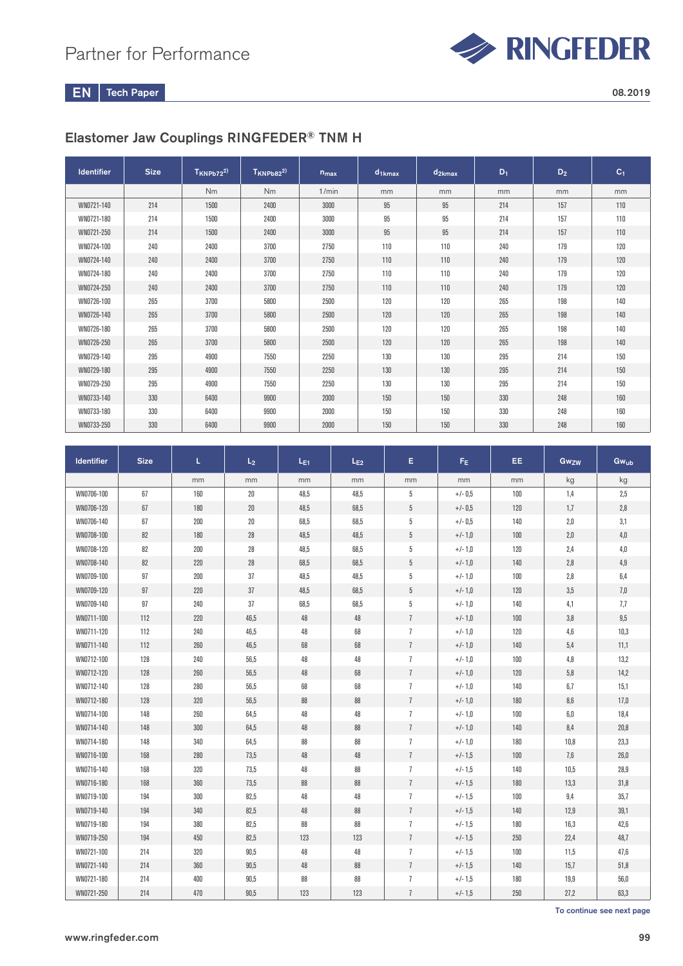

EN Tech Paper 2008.2019

# Elastomer Jaw Couplings RINGFEDER® TNM H

| <b>Identifier</b> | <b>Size</b> | $T_{KNPb72}^{2)}$ | $T_{KNPb82}^{2)}$ | $n_{max}$ | $d_{1kmax}$ | $d_{2kmax}$ | $D_1$ | $D_2$ | C <sub>1</sub> |
|-------------------|-------------|-------------------|-------------------|-----------|-------------|-------------|-------|-------|----------------|
|                   |             | <b>Nm</b>         | N <sub>m</sub>    | 1/min     | mm          | mm          | mm    | mm    | mm             |
| WN0721-140        | 214         | 1500              | 2400              | 3000      | 95          | 95          | 214   | 157   | 110            |
| WN0721-180        | 214         | 1500              | 2400              | 3000      | 95          | 95          | 214   | 157   | 110            |
| WN0721-250        | 214         | 1500              | 2400              | 3000      | 95          | 95          | 214   | 157   | 110            |
| WN0724-100        | 240         | 2400              | 3700              | 2750      | 110         | 110         | 240   | 179   | 120            |
| WN0724-140        | 240         | 2400              | 3700              | 2750      | 110         | 110         | 240   | 179   | 120            |
| WN0724-180        | 240         | 2400              | 3700              | 2750      | 110         | 110         | 240   | 179   | 120            |
| WN0724-250        | 240         | 2400              | 3700              | 2750      | 110         | 110         | 240   | 179   | 120            |
| WN0726-100        | 265         | 3700              | 5800              | 2500      | 120         | 120         | 265   | 198   | 140            |
| WN0726-140        | 265         | 3700              | 5800              | 2500      | 120         | 120         | 265   | 198   | 140            |
| WN0726-180        | 265         | 3700              | 5800              | 2500      | 120         | 120         | 265   | 198   | 140            |
| WN0726-250        | 265         | 3700              | 5800              | 2500      | 120         | 120         | 265   | 198   | 140            |
| WN0729-140        | 295         | 4900              | 7550              | 2250      | 130         | 130         | 295   | 214   | 150            |
| WN0729-180        | 295         | 4900              | 7550              | 2250      | 130         | 130         | 295   | 214   | 150            |
| WN0729-250        | 295         | 4900              | 7550              | 2250      | 130         | 130         | 295   | 214   | 150            |
| WN0733-140        | 330         | 6400              | 9900              | 2000      | 150         | 150         | 330   | 248   | 160            |
| WN0733-180        | 330         | 6400              | 9900              | 2000      | 150         | 150         | 330   | 248   | 160            |
| WN0733-250        | 330         | 6400              | 9900              | 2000      | 150         | 150         | 330   | 248   | 160            |

| <b>Identifier</b> | <b>Size</b> | L.  | L <sub>2</sub> | $L_{E1}$ | $L_{E2}$ | E              | $F_E$     | EE. | Gwzw | Gwub |
|-------------------|-------------|-----|----------------|----------|----------|----------------|-----------|-----|------|------|
|                   |             | mm  | mm             | mm       | mm       | mm             | mm        | mm  | kg   | kg   |
| WN0706-100        | 67          | 160 | 20             | 48,5     | 48,5     | 5              | $+/- 0.5$ | 100 | 1,4  | 2,5  |
| WN0706-120        | 67          | 180 | 20             | 48,5     | 68,5     | $5\,$          | $+/- 0.5$ | 120 | 1,7  | 2,8  |
| WN0706-140        | 67          | 200 | $20\,$         | 68,5     | 68,5     | 5              | $+/- 0.5$ | 140 | 2,0  | 3,1  |
| WN0708-100        | 82          | 180 | 28             | 48,5     | 48,5     | $5\,$          | $+/-1,0$  | 100 | 2,0  | 4,0  |
| WN0708-120        | 82          | 200 | 28             | 48,5     | 68,5     | 5              | $+/-1,0$  | 120 | 2,4  | 4,0  |
| WN0708-140        | 82          | 220 | 28             | 68,5     | 68,5     | $5\,$          | $+/-1,0$  | 140 | 2,8  | 4,9  |
| WN0709-100        | 97          | 200 | 37             | 48,5     | 48,5     | 5              | $+/-1,0$  | 100 | 2,8  | 6,4  |
| WN0709-120        | 97          | 220 | 37             | 48,5     | 68,5     | $5\,$          | $+/-1,0$  | 120 | 3,5  | 7,0  |
| WN0709-140        | 97          | 240 | 37             | 68,5     | 68,5     | 5              | $+/-1,0$  | 140 | 4,1  | 7,7  |
| WN0711-100        | 112         | 220 | 46,5           | 48       | 48       | $\overline{1}$ | $+/-1,0$  | 100 | 3,8  | 9,5  |
| WN0711-120        | 112         | 240 | 46,5           | 48       | 68       | $\overline{1}$ | $+/-1,0$  | 120 | 4,6  | 10,3 |
| WN0711-140        | 112         | 260 | 46,5           | 68       | 68       | $\overline{1}$ | $+/-1,0$  | 140 | 5,4  | 11,1 |
| WN0712-100        | 128         | 240 | 56,5           | 48       | 48       | $\overline{1}$ | $+/-1,0$  | 100 | 4,8  | 13,2 |
| WN0712-120        | 128         | 260 | 56,5           | 48       | 68       | $\overline{1}$ | $+/-1,0$  | 120 | 5,8  | 14,2 |
| WN0712-140        | 128         | 280 | 56,5           | 68       | 68       | $\overline{1}$ | $+/-1,0$  | 140 | 6,7  | 15,1 |
| WN0712-180        | 128         | 320 | 56,5           | 88       | 88       | $\overline{1}$ | $+/-1,0$  | 180 | 8,6  | 17,0 |
| WN0714-100        | 148         | 260 | 64,5           | 48       | 48       | $\overline{1}$ | $+/-1,0$  | 100 | 6,0  | 18,4 |
| WN0714-140        | 148         | 300 | 64,5           | 48       | 88       | $\overline{1}$ | $+/-1,0$  | 140 | 8,4  | 20,8 |
| WN0714-180        | 148         | 340 | 64,5           | 88       | 88       | $\overline{1}$ | $+/-1,0$  | 180 | 10,8 | 23,3 |
| WN0716-100        | 168         | 280 | 73,5           | 48       | 48       | $\overline{1}$ | $+/-1,5$  | 100 | 7,6  | 26,0 |
| WN0716-140        | 168         | 320 | 73,5           | 48       | 88       | $\overline{1}$ | $+/- 1,5$ | 140 | 10,5 | 28,9 |
| WN0716-180        | 168         | 360 | 73,5           | 88       | 88       | $\overline{1}$ | $+/-1,5$  | 180 | 13,3 | 31,8 |
| WN0719-100        | 194         | 300 | 82,5           | 48       | 48       | $\overline{1}$ | $+/-1,5$  | 100 | 9,4  | 35,7 |
| WN0719-140        | 194         | 340 | 82,5           | 48       | 88       | $\overline{1}$ | $+/-1,5$  | 140 | 12,9 | 39,1 |
| WN0719-180        | 194         | 380 | 82,5           | 88       | 88       | $\overline{1}$ | $+/-1.5$  | 180 | 16,3 | 42,6 |
| WN0719-250        | 194         | 450 | 82,5           | 123      | 123      | $\overline{1}$ | $+/-1,5$  | 250 | 22,4 | 48,7 |
| WN0721-100        | 214         | 320 | 90,5           | 48       | 48       | $\overline{1}$ | $+/-1,5$  | 100 | 11,5 | 47,6 |
| WN0721-140        | 214         | 360 | 90,5           | 48       | 88       | $\overline{1}$ | $+/-1,5$  | 140 | 15,7 | 51,8 |
| WN0721-180        | 214         | 400 | 90,5           | 88       | 88       | $\overline{1}$ | $+/-1,5$  | 180 | 19,9 | 56,0 |
| WN0721-250        | 214         | 470 | 90,5           | 123      | 123      | $\overline{1}$ | $+/-1,5$  | 250 | 27,2 | 63,3 |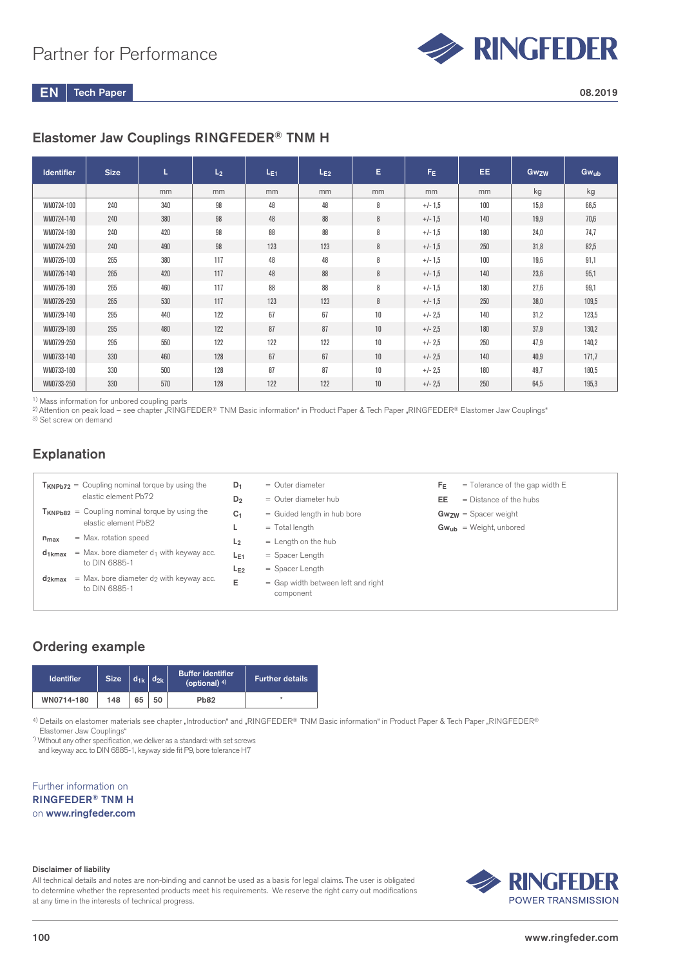

# Elastomer Jaw Couplings RINGFEDER® TNM H

| <b>Identifier</b> | <b>Size</b> | L.  | L <sub>2</sub> | $L_{E1}$ | $L_{E2}$ | E. | $F_E$     | EE. | <b>Gwzw</b> | Gwub  |
|-------------------|-------------|-----|----------------|----------|----------|----|-----------|-----|-------------|-------|
|                   |             | mm  | mm             | mm       | mm       | mm | mm        | mm  | kg          | kg    |
| WN0724-100        | 240         | 340 | 98             | 48       | 48       | 8  | $+/-1,5$  | 100 | 15,8        | 66,5  |
| WN0724-140        | 240         | 380 | 98             | 48       | 88       | 8  | $+/-1,5$  | 140 | 19.9        | 70,6  |
| WN0724-180        | 240         | 420 | 98             | 88       | 88       | 8  | $+/- 1,5$ | 180 | 24,0        | 74,7  |
| WN0724-250        | 240         | 490 | 98             | 123      | 123      | 8  | $+/-1,5$  | 250 | 31,8        | 82,5  |
| WN0726-100        | 265         | 380 | 117            | 48       | 48       | 8  | $+/-1,5$  | 100 | 19,6        | 91,1  |
| WN0726-140        | 265         | 420 | 117            | 48       | 88       | 8  | $+/-1,5$  | 140 | 23,6        | 95,1  |
| WN0726-180        | 265         | 460 | 117            | 88       | 88       | 8  | $+/-1,5$  | 180 | 27.6        | 99,1  |
| WN0726-250        | 265         | 530 | 117            | 123      | 123      | 8  | $+/-1,5$  | 250 | 38.0        | 109,5 |
| WN0729-140        | 295         | 440 | 122            | 67       | 67       | 10 | $+/- 2.5$ | 140 | 31,2        | 123,5 |
| WN0729-180        | 295         | 480 | 122            | 87       | 87       | 10 | $+/- 2.5$ | 180 | 37,9        | 130,2 |
| WN0729-250        | 295         | 550 | 122            | 122      | 122      | 10 | $+/- 2.5$ | 250 | 47.9        | 140,2 |
| WN0733-140        | 330         | 460 | 128            | 67       | 67       | 10 | $+/- 2.5$ | 140 | 40,9        | 171,7 |
| WN0733-180        | 330         | 500 | 128            | 87       | 87       | 10 | $+/- 2.5$ | 180 | 49.7        | 180,5 |
| WN0733-250        | 330         | 570 | 128            | 122      | 122      | 10 | $+/- 2.5$ | 250 | 64,5        | 195,3 |

<sup>1)</sup> Mass information for unbored coupling parts

2) Attention on peak load – see chapter "RINGFEDER® TNM Basic information" in Product Paper & Tech Paper "RINGFEDER® Elastomer Jaw Couplings" <sup>3)</sup> Set screw on demand

### Explanation

| $T_{KNPb72}$ = Coupling nominal torque by using the<br>elastic element Pb72                             | $=$ Outer diameter<br>D <sub>1</sub><br>$=$ Outer diameter hub<br>D <sub>2</sub>      |
|---------------------------------------------------------------------------------------------------------|---------------------------------------------------------------------------------------|
| $T_{KNPb82}$ = Coupling nominal torque by using the<br>elastic element Pb82                             | = Guided length in hub bore<br>C <sub>1</sub><br>$=$ Total length                     |
| $=$ Max. rotation speed<br>$n_{max}$                                                                    | $=$ Length on the hub<br>L <sub>2</sub>                                               |
| $=$ Max. bore diameter d <sub>1</sub> with keyway acc.<br>$d_{1kmax}$                                   | $=$ Spacer Length<br>$L_{E1}$                                                         |
| to DIN 6885-1<br>$=$ Max. bore diameter d <sub>2</sub> with keyway acc.<br>$d_{2kmax}$<br>to DIN 6885-1 | $=$ Spacer Length<br>$L_{F2}$<br>Е<br>= Gap width between left and right<br>component |

- $F_E$  = Tolerance of the gap width E
- $EE$  = Distance of the hubs
- Gwzw = Spacer weight
- $Gw_{ub}$  = Weight, unbored

# Ordering example

| <b>Identifier</b> | <b>Size</b> |    | $d_{1k}$ $d_{2k}$ | <b>Buffer identifier</b><br>(optional) $4$ ) | <b>Further details</b> |
|-------------------|-------------|----|-------------------|----------------------------------------------|------------------------|
| WN0714-180        | 148         | 65 | 50                | <b>Pb82</b>                                  |                        |

4) Details on elastomer materials see chapter "Introduction" and "RINGFEDER® TNM Basic information" in Product Paper & Tech Paper "RINGFEDER®

Elastomer Jaw Couplings"

\*) Without any other specification, we deliver as a standard: with set screws and keyway acc. to DIN 6885-1, keyway side fit P9, bore tolerance H7

Further information on RINGFEDER® TNM H on www.ringfeder.com

#### Disclaimer of liability

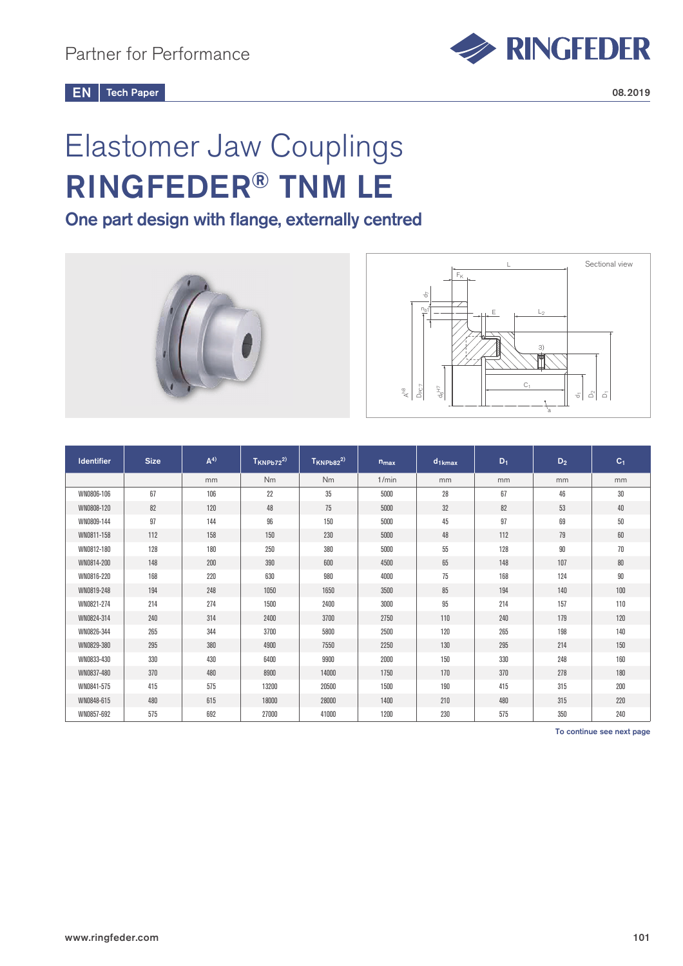

# Elastomer Jaw Couplings RINGFEDER® TNM LE

One part design with flange, externally centred





| <b>Identifier</b> | <b>Size</b> | A <sup>4</sup> | $T_{KNPb72}^{2)}$ | $T_{KNPb82}^{2)}$ | $n_{max}$ | $d_{1kmax}$ | $D_1$ | $D_2$ | $C_1$  |
|-------------------|-------------|----------------|-------------------|-------------------|-----------|-------------|-------|-------|--------|
|                   |             | mm             | <b>Nm</b>         | Nm                | 1/min     | mm          | mm    | mm    | mm     |
| WN0806-106        | 67          | 106            | 22                | 35                | 5000      | 28          | 67    | 46    | 30     |
| WN0808-120        | 82          | 120            | 48                | 75                | 5000      | 32          | 82    | 53    | 40     |
| WN0809-144        | 97          | 144            | 96                | 150               | 5000      | 45          | 97    | 69    | $50\,$ |
| WN0811-158        | 112         | 158            | 150               | 230               | 5000      | 48          | 112   | 79    | 60     |
| WN0812-180        | 128         | 180            | 250               | 380               | 5000      | 55          | 128   | 90    | 70     |
| WN0814-200        | 148         | 200            | 390               | 600               | 4500      | 65          | 148   | 107   | 80     |
| WN0816-220        | 168         | 220            | 630               | 980               | 4000      | 75          | 168   | 124   | 90     |
| WN0819-248        | 194         | 248            | 1050              | 1650              | 3500      | 85          | 194   | 140   | 100    |
| WN0821-274        | 214         | 274            | 1500              | 2400              | 3000      | 95          | 214   | 157   | 110    |
| WN0824-314        | 240         | 314            | 2400              | 3700              | 2750      | 110         | 240   | 179   | 120    |
| WN0826-344        | 265         | 344            | 3700              | 5800              | 2500      | 120         | 265   | 198   | 140    |
| WN0829-380        | 295         | 380            | 4900              | 7550              | 2250      | 130         | 295   | 214   | 150    |
| WN0833-430        | 330         | 430            | 6400              | 9900              | 2000      | 150         | 330   | 248   | 160    |
| WN0837-480        | 370         | 480            | 8900              | 14000             | 1750      | 170         | 370   | 278   | 180    |
| WN0841-575        | 415         | 575            | 13200             | 20500             | 1500      | 190         | 415   | 315   | 200    |
| WN0848-615        | 480         | 615            | 18000             | 28000             | 1400      | 210         | 480   | 315   | 220    |
| WN0857-692        | 575         | 692            | 27000             | 41000             | 1200      | 230         | 575   | 350   | 240    |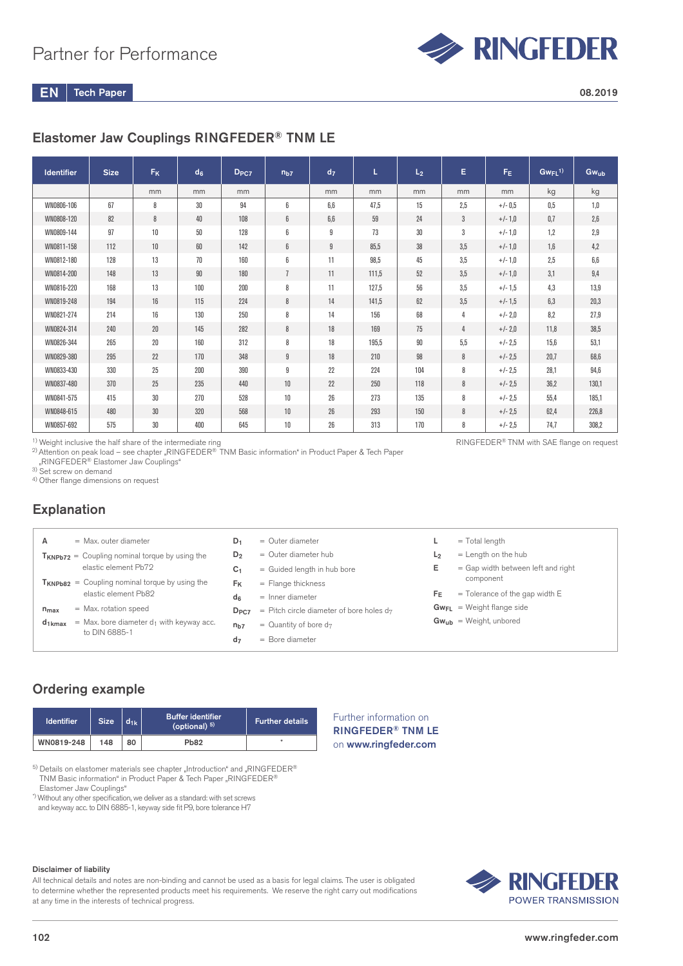

# Elastomer Jaw Couplings RINGFEDER® TNM LE

| <b>Identifier</b> | <b>Size</b> | <b>F<sub>K</sub></b> | d <sub>6</sub> | D <sub>PC7</sub> | n <sub>b7</sub>  | d <sub>7</sub> | L     | L <sub>2</sub> | E   | F <sub>E</sub> | $GwFL^{1)}$ | Gwub    |
|-------------------|-------------|----------------------|----------------|------------------|------------------|----------------|-------|----------------|-----|----------------|-------------|---------|
|                   |             | mm                   | mm             | mm               |                  | mm             | mm    | mm             | mm  | mm             | kg          | kg      |
| WN0806-106        | 67          | 8                    | 30             | 94               | 6                | 6,6            | 47,5  | 15             | 2,5 | $+/- 0.5$      | 0,5         | 1,0     |
| WN0808-120        | 82          | 8                    | 40             | 108              | 6                | 6,6            | 59    | 24             | 3   | $+/-1,0$       | 0,7         | 2,6     |
| WN0809-144        | 97          | $10$                 | 50             | 128              | 6                | 9              | 73    | 30             | 3   | $+/-1,0$       | 1,2         | 2,9     |
| WN0811-158        | 112         | 10                   | 60             | 142              | 6                | 9              | 85,5  | 38             | 3,5 | $+/-1,0$       | 1,6         | 4,2     |
| WN0812-180        | 128         | 13                   | 70             | 160              | 6                | 11             | 98,5  | 45             | 3,5 | $+/-1,0$       | 2,5         | $6,\!6$ |
| WN0814-200        | 148         | 13                   | 90             | 180              | $\overline{1}$   | 11             | 111,5 | 52             | 3,5 | $+/-1,0$       | 3,1         | 9,4     |
| WN0816-220        | 168         | 13                   | 100            | 200              | 8                | 11             | 127,5 | 56             | 3,5 | $+/-1,5$       | 4,3         | 13,9    |
| WN0819-248        | 194         | $16\,$               | 115            | 224              | 8                | 14             | 141,5 | 62             | 3,5 | $+/-1.5$       | 6,3         | 20,3    |
| WN0821-274        | 214         | 16                   | 130            | 250              | 8                | 14             | 156   | 68             | 4   | $+/- 2.0$      | 8,2         | 27,9    |
| WN0824-314        | 240         | $20\,$               | 145            | 282              | 8                | 18             | 169   | 75             | 4   | $+/- 2,0$      | 11.8        | 38,5    |
| WN0826-344        | 265         | $20\,$               | 160            | 312              | 8                | 18             | 195,5 | 90             | 5,5 | $+/- 2.5$      | 15,6        | 53,1    |
| WN0829-380        | 295         | 22                   | 170            | 348              | $\boldsymbol{9}$ | 18             | 210   | 98             | 8   | $+/- 2.5$      | 20,7        | 68,6    |
| WN0833-430        | 330         | 25                   | 200            | 390              | 9                | 22             | 224   | 104            | 8   | $+/- 2.5$      | 28,1        | 94,6    |
| WN0837-480        | 370         | 25                   | 235            | 440              | 10               | 22             | 250   | 118            | 8   | $+/- 2.5$      | 36.2        | 130,1   |
| WN0841-575        | 415         | 30                   | 270            | 528              | 10               | 26             | 273   | 135            | 8   | $+/- 2.5$      | 55,4        | 185,1   |
| WN0848-615        | 480         | $30\,$               | 320            | 568              | $10$             | $26\,$         | 293   | 150            | 8   | $+/- 2.5$      | 62.4        | 226,8   |
| WN0857-692        | 575         | 30                   | 400            | 645              | 10               | 26             | 313   | 170            | 8   | $+/- 2.5$      | 74,7        | 308,2   |

<sup>1)</sup> Weight inclusive the half share of the intermediate ring

2) Attention on peak load – see chapter "RINGFEDER® TNM Basic information" in Product Paper & Tech Paper

"RINGFEDER® Elastomer Jaw Couplings"

 $3)$  Set screw on demand

4) Other flange dimensions on request

# **Explanation**

| $=$ Max, outer diameter<br>А                                                | $D_1$            | $=$ Outer diameter                          |                | $=$ Total length                     |
|-----------------------------------------------------------------------------|------------------|---------------------------------------------|----------------|--------------------------------------|
| $T_{KNPb72}$ = Coupling nominal torque by using the                         | D <sub>2</sub>   | $=$ Outer diameter hub                      | L <sub>2</sub> | $=$ Length on the hub                |
| elastic element Pb72                                                        | C <sub>1</sub>   | = Guided length in hub bore                 | Е              | $=$ Gap width between left and right |
| $T_{KNPb82}$ = Coupling nominal torque by using the                         | Fĸ               | $=$ Flange thickness                        |                | component                            |
| elastic element Pb82                                                        | dء               | $=$ Inner diameter                          | Fε             | $=$ Tolerance of the gap width E     |
| $=$ Max. rotation speed<br>$n_{max}$                                        | D <sub>PC7</sub> | = Pitch circle diameter of bore holes $d_7$ |                | $Gw_{FL}$ = Weight flange side       |
| = Max. bore diameter $d_1$ with keyway acc.<br>$d_{1kmax}$<br>to DIN 6885-1 | n <sub>b7</sub>  | $=$ Quantity of bore d <sub>7</sub>         |                | $Gw_{ub}$ = Weight, unbored          |
|                                                                             | d <sub>7</sub>   | $=$ Bore diameter                           |                |                                      |
|                                                                             |                  |                                             |                |                                      |

Further information on RINGFEDER® TNM LE on www.ringfeder.com

# Ordering example

| <b>Identifier</b> | <b>Size</b> | d <sub>1k</sub> | <b>Buffer identifier</b><br>(optional) $5$ ) | Further details' |
|-------------------|-------------|-----------------|----------------------------------------------|------------------|
| WN0819-248        | 148         | 80              | <b>Pb82</b>                                  | ٠                |

 $5)$  Details on elastomer materials see chapter "Introduction" and "RINGFEDER® TNM Basic information" in Product Paper & Tech Paper "RINGFEDER® Elastomer Jaw Couplings"

\*) Without any other specification, we deliver as a standard: with set screws

and keyway acc. to DIN 6885-1, keyway side fit P9, bore tolerance H7

#### Disclaimer of liability

All technical details and notes are non-binding and cannot be used as a basis for legal claims. The user is obligated to determine whether the represented products meet his requirements. We reserve the right carry out modifications at any time in the interests of technical progress.



# RINGFEDER® TNM with SAE flange on request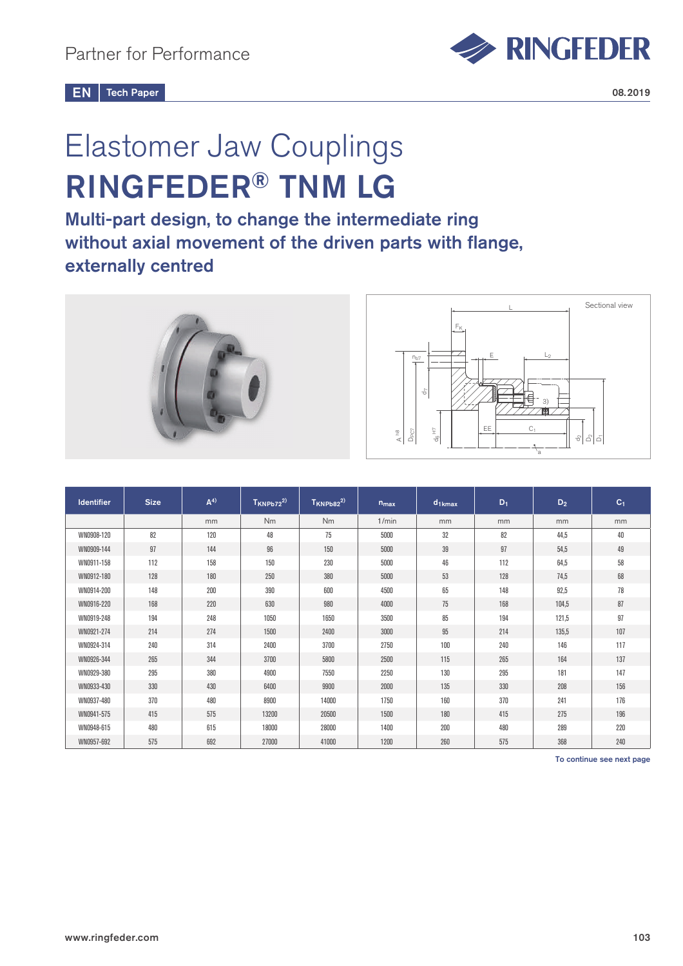

# Elastomer Jaw Couplings RINGFEDER® TNM LG

Multi-part design, to change the intermediate ring without axial movement of the driven parts with flange, externally centred



| <b>Identifier</b> | <b>Size</b> | A <sup>4</sup> | $T_{KNPb72}^{(2)}$ | $T_{KNPb82}^{2)}$ | $n_{max}$ | $d_{1kmax}$ | $D_1$ | $D_2$ | C <sub>1</sub> |
|-------------------|-------------|----------------|--------------------|-------------------|-----------|-------------|-------|-------|----------------|
|                   |             | mm             | <b>Nm</b>          | Nm                | 1/min     | mm          | mm    | mm    | mm             |
| WN0908-120        | 82          | 120            | 48                 | 75                | 5000      | 32          | 82    | 44,5  | 40             |
| WN0909-144        | 97          | 144            | 96                 | 150               | 5000      | 39          | 97    | 54,5  | 49             |
| WN0911-158        | 112         | 158            | 150                | 230               | 5000      | 46          | 112   | 64,5  | 58             |
| WN0912-180        | 128         | 180            | 250                | 380               | 5000      | 53          | 128   | 74,5  | 68             |
| WN0914-200        | 148         | 200            | 390                | 600               | 4500      | 65          | 148   | 92,5  | 78             |
| WN0916-220        | 168         | 220            | 630                | 980               | 4000      | 75          | 168   | 104,5 | 87             |
| WN0919-248        | 194         | 248            | 1050               | 1650              | 3500      | 85          | 194   | 121,5 | 97             |
| WN0921-274        | 214         | 274            | 1500               | 2400              | 3000      | 95          | 214   | 135,5 | 107            |
| WN0924-314        | 240         | 314            | 2400               | 3700              | 2750      | 100         | 240   | 146   | 117            |
| WN0926-344        | 265         | 344            | 3700               | 5800              | 2500      | 115         | 265   | 164   | 137            |
| WN0929-380        | 295         | 380            | 4900               | 7550              | 2250      | 130         | 295   | 181   | 147            |
| WN0933-430        | 330         | 430            | 6400               | 9900              | 2000      | 135         | 330   | 208   | 156            |
| WN0937-480        | 370         | 480            | 8900               | 14000             | 1750      | 160         | 370   | 241   | 176            |
| WN0941-575        | 415         | 575            | 13200              | 20500             | 1500      | 180         | 415   | 275   | 196            |
| WN0948-615        | 480         | 615            | 18000              | 28000             | 1400      | 200         | 480   | 289   | 220            |
| WN0957-692        | 575         | 692            | 27000              | 41000             | 1200      | 260         | 575   | 368   | 240            |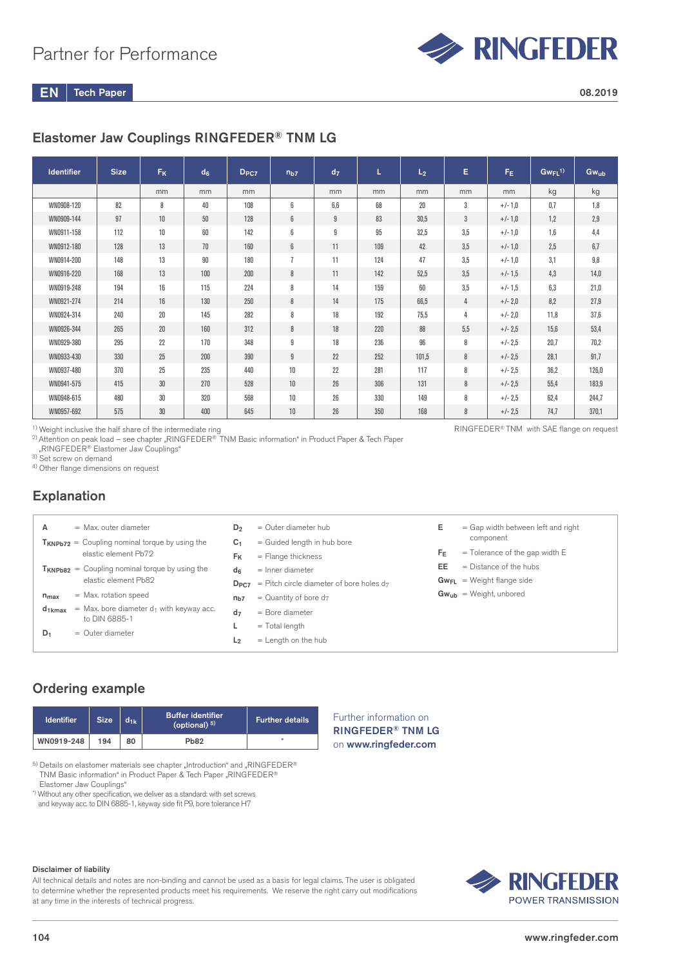

# Elastomer Jaw Couplings RINGFEDER® TNM LG

| <b>Identifier</b> | <b>Size</b> | <b>F<sub>K</sub></b> | d <sub>6</sub> | D <sub>PC7</sub> | n <sub>b7</sub> | d <sub>7</sub> | L   | L <sub>2</sub> | Е              | $F_E$     | $GwFL^{1)}$ | $Gw_{ub}$ |
|-------------------|-------------|----------------------|----------------|------------------|-----------------|----------------|-----|----------------|----------------|-----------|-------------|-----------|
|                   |             | mm                   | mm             | mm               |                 | mm             | mm  | mm             | mm             | mm        | kg          | kg        |
| WN0908-120        | 82          | 8                    | 40             | 108              | 6               | 6.6            | 68  | 20             | 3              | $+/-1,0$  | 0.7         | 1,8       |
| WN0909-144        | 97          | 10                   | 50             | 128              | 6               | 9              | 83  | 30,5           | $\mathbf{3}$   | $+/-1.0$  | 1.2         | 2,9       |
| WN0911-158        | 112         | 10                   | 60             | 142              | 6               | 9              | 95  | 32,5           | 3,5            | $+/-1,0$  | 1,6         | 4,4       |
| WN0912-180        | 128         | 13                   | 70             | 160              | 6               | 11             | 109 | 42             | 3,5            | $+/-1,0$  | 2,5         | 6,7       |
| WN0914-200        | 148         | 13                   | 90             | 180              | $\overline{1}$  | 11             | 124 | 47             | 3,5            | $+/-1,0$  | 3,1         | 9,8       |
| WN0916-220        | 168         | 13                   | 100            | 200              | 8               | 11             | 142 | 52,5           | 3.5            | $+/-1,5$  | 4,3         | 14,0      |
| WN0919-248        | 194         | 16                   | 115            | 224              | 8               | 14             | 159 | 60             | 3,5            | $+/-1.5$  | 6,3         | 21,0      |
| WN0921-274        | 214         | 16                   | 130            | 250              | 8               | 14             | 175 | 66.5           | $\overline{4}$ | $+/- 2.0$ | 8.2         | 27,9      |
| WN0924-314        | 240         | 20                   | 145            | 282              | 8               | 18             | 192 | 75,5           | 4              | $+/- 2.0$ | 11.8        | 37,6      |
| WN0926-344        | 265         | 20                   | 160            | 312              | 8               | 18             | 220 | 88             | 5,5            | $+/- 2.5$ | 15.6        | 53,4      |
| WN0929-380        | 295         | 22                   | 170            | 348              | 9               | 18             | 236 | 96             | 8              | $+/- 2.5$ | 20,7        | 70,2      |
| WN0933-430        | 330         | 25                   | 200            | 390              | 9               | 22             | 252 | 101,5          | 8              | $+/- 2.5$ | 28,1        | 91,7      |
| WN0937-480        | 370         | 25                   | 235            | 440              | 10              | 22             | 281 | 117            | 8              | $+/- 2.5$ | 36.2        | 126,0     |
| WN0941-575        | 415         | 30                   | 270            | 528              | 10              | 26             | 306 | 131            | 8              | $+/- 2.5$ | 55.4        | 183,9     |
| WN0948-615        | 480         | 30                   | 320            | 568              | 10 <sup>°</sup> | 26             | 330 | 149            | 8              | $+/- 2.5$ | 62.4        | 244,7     |
| WN0957-692        | 575         | 30                   | 400            | 645              | 10 <sup>°</sup> | 26             | 350 | 168            | 8              | $+/- 2.5$ | 74,7        | 370,1     |

<sup>1)</sup> Weight inclusive the half share of the intermediate ring

 $^{2)}$ Attention on peak load – see chapter "RINGFEDER® TNM Basic information" in Product Paper & Tech Paper "RINGFEDER® Elastomer Jaw Couplings"

<sup>3)</sup> Set screw on demand

4) Other flange dimensions on request

## Explanation

|  | A              | $=$ Max, outer diameter                                                     | D <sub>2</sub> | $=$ Outer diameter hub                      | E. | $=$ Gap width between le       |
|--|----------------|-----------------------------------------------------------------------------|----------------|---------------------------------------------|----|--------------------------------|
|  |                | $T_{KNPb72}$ = Coupling nominal torque by using the                         | C <sub>1</sub> | = Guided length in hub bore                 |    | component                      |
|  |                | elastic element Pb72                                                        | Fĸ             | $=$ Flange thickness                        | FF | $=$ Tolerance of the gap       |
|  |                | $T_{KNPb82}$ = Coupling nominal torque by using the<br>elastic element Pb82 | dr             | $=$ Inner diameter                          | EE | $=$ Distance of the hubs       |
|  |                |                                                                             | $D_{PC7}$      | = Pitch circle diameter of bore holes $d_7$ |    | $Gw_{FL}$ = Weight flange side |
|  | $n_{max}$      | = Max. rotation speed                                                       | $n_{b7}$       | $=$ Quantity of bore d <sub>7</sub>         |    | $Gw_{ub}$ = Weight, unbored    |
|  | $d_{1kmax}$    | $=$ Max. bore diameter $d_1$ with keyway acc.                               | d <sub>7</sub> | $=$ Bore diameter                           |    |                                |
|  |                | to DIN 6885-1                                                               |                | $=$ Total length                            |    |                                |
|  | D <sub>1</sub> | $=$ Outer diameter                                                          | L <sub>2</sub> | $=$ Length on the hub                       |    |                                |
|  |                |                                                                             |                |                                             |    |                                |

# left and right

p width E

# Ordering example

| <b>Identifier</b> | <b>Size</b> | $d_{1k}$ | <b>Buffer identifier</b><br>(optional) $5$ ) | Further details |
|-------------------|-------------|----------|----------------------------------------------|-----------------|
| WN0919-248        | 194         | 80       | <b>Pb82</b>                                  |                 |

 $^{5)}$  Details on elastomer materials see chapter "Introduction" and "RINGFEDER® TNM Basic information" in Product Paper & Tech Paper "RINGFEDER® Elastomer Jaw Couplings"

\*) Without any other specification, we deliver as a standard: with set screws and keyway acc. to DIN 6885-1, keyway side fit P9, bore tolerance H7

### Further information on RINGFEDER® TNM LG on www.ringfeder.com



All technical details and notes are non-binding and cannot be used as a basis for legal claims. The user is obligated to determine whether the represented products meet his requirements. We reserve the right carry out modifications at any time in the interests of technical progress.



RINGFEDER® TNM with SAE flange on request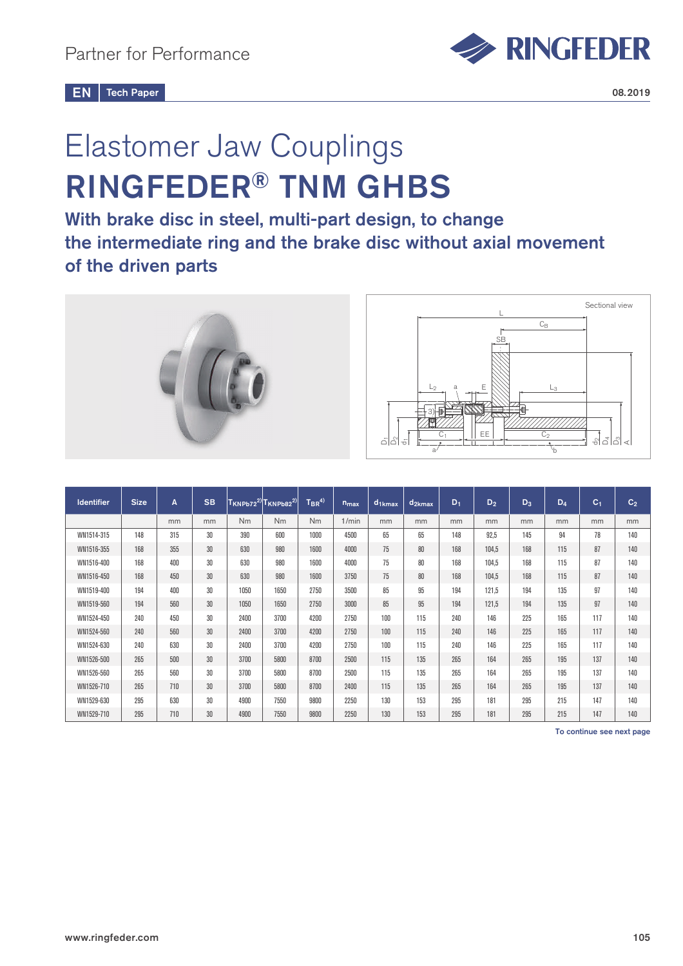

# Elastomer Jaw Couplings RINGFEDER® TNM GHBS

With brake disc in steel, multi-part design, to change the intermediate ring and the brake disc without axial movement of the driven parts



| <b>Identifier</b> | <b>Size</b> | A   | <b>SB</b> |      | $ T_{KNPb72}^{2)} T_{KNPb82}^{2)} $ | $T_{BR}^{(4)}$ | $n_{max}$ | $d1$ kmax | $d_{2kmax}$ | $D_1$ | $D_2$ | $D_3$ | $D_4$ | $C_1$ | C <sub>2</sub> |
|-------------------|-------------|-----|-----------|------|-------------------------------------|----------------|-----------|-----------|-------------|-------|-------|-------|-------|-------|----------------|
|                   |             | mm  | mm        | Nm   | Nm                                  | <b>Nm</b>      | 1/min     | mm        | mm          | mm    | mm    | mm    | mm    | mm    | mm             |
| WN1514-315        | 148         | 315 | 30        | 390  | 600                                 | 1000           | 4500      | 65        | 65          | 148   | 92.5  | 145   | 94    | 78    | 140            |
| WN1516-355        | 168         | 355 | 30        | 630  | 980                                 | 1600           | 4000      | 75        | 80          | 168   | 104,5 | 168   | 115   | 87    | 140            |
| WN1516-400        | 168         | 400 | 30        | 630  | 980                                 | 1600           | 4000      | 75        | 80          | 168   | 104.5 | 168   | 115   | 87    | 140            |
| WN1516-450        | 168         | 450 | 30        | 630  | 980                                 | 1600           | 3750      | 75        | 80          | 168   | 104.5 | 168   | 115   | 87    | 140            |
| WN1519-400        | 194         | 400 | 30        | 1050 | 1650                                | 2750           | 3500      | 85        | 95          | 194   | 121,5 | 194   | 135   | 97    | 140            |
| WN1519-560        | 194         | 560 | 30        | 1050 | 1650                                | 2750           | 3000      | 85        | 95          | 194   | 121,5 | 194   | 135   | 97    | 140            |
| WN1524-450        | 240         | 450 | 30        | 2400 | 3700                                | 4200           | 2750      | 100       | 115         | 240   | 146   | 225   | 165   | 117   | 140            |
| WN1524-560        | 240         | 560 | 30        | 2400 | 3700                                | 4200           | 2750      | 100       | 115         | 240   | 146   | 225   | 165   | 117   | 140            |
| WN1524-630        | 240         | 630 | 30        | 2400 | 3700                                | 4200           | 2750      | 100       | 115         | 240   | 146   | 225   | 165   | 117   | 140            |
| WN1526-500        | 265         | 500 | 30        | 3700 | 5800                                | 8700           | 2500      | 115       | 135         | 265   | 164   | 265   | 195   | 137   | 140            |
| WN1526-560        | 265         | 560 | 30        | 3700 | 5800                                | 8700           | 2500      | 115       | 135         | 265   | 164   | 265   | 195   | 137   | 140            |
| WN1526-710        | 265         | 710 | 30        | 3700 | 5800                                | 8700           | 2400      | 115       | 135         | 265   | 164   | 265   | 195   | 137   | 140            |
| WN1529-630        | 295         | 630 | 30        | 4900 | 7550                                | 9800           | 2250      | 130       | 153         | 295   | 181   | 295   | 215   | 147   | 140            |
| WN1529-710        | 295         | 710 | 30        | 4900 | 7550                                | 9800           | 2250      | 130       | 153         | 295   | 181   | 295   | 215   | 147   | 140            |